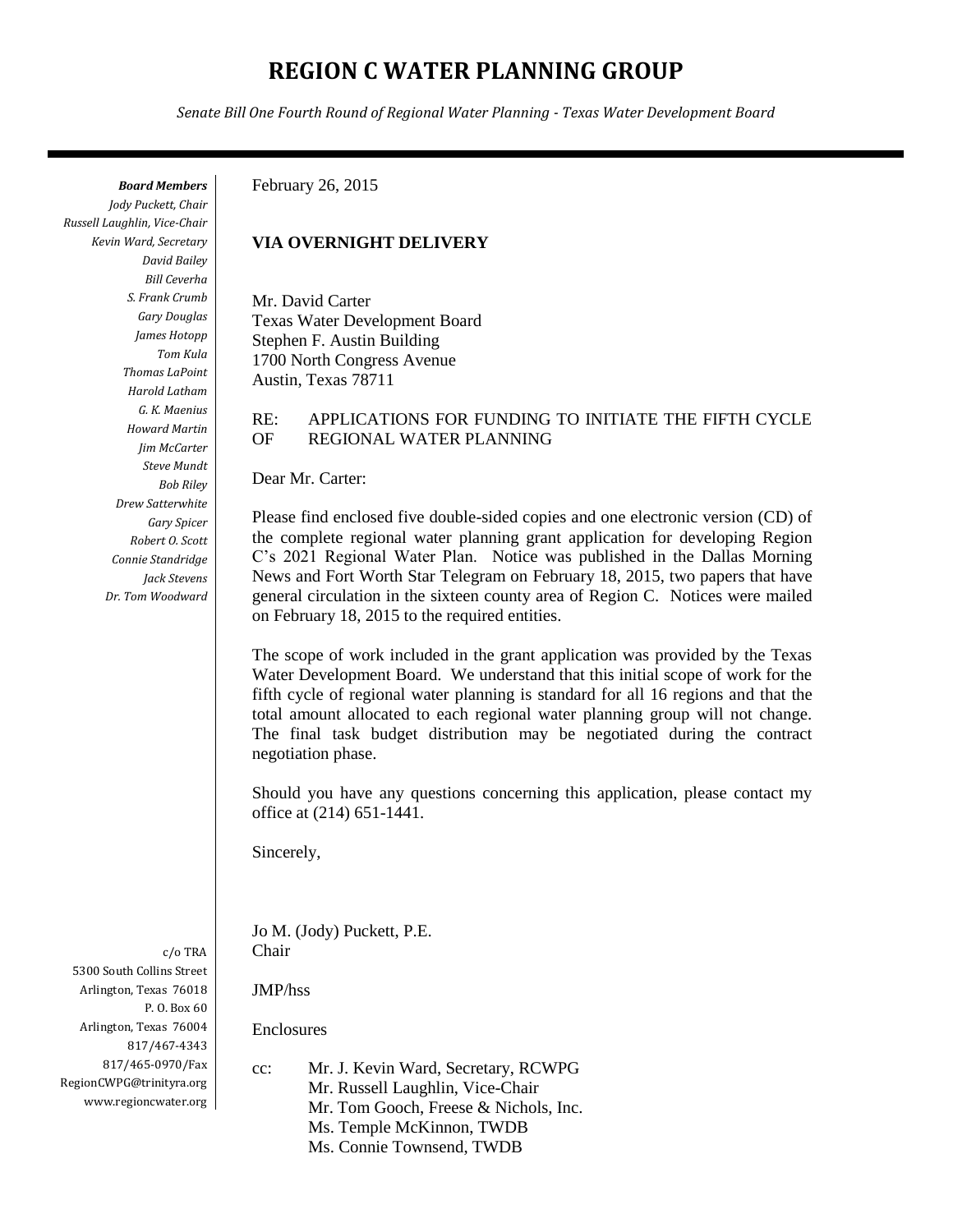# **REGION C WATER PLANNING GROUP**

*Senate Bill One Fourth Round of Regional Water Planning - Texas Water Development Board*

*Board Members*

*Jody Puckett, Chair Russell Laughlin, Vice-Chair Kevin Ward, Secretary David Bailey Bill Ceverha S. Frank Crumb Gary Douglas James Hotopp Tom Kula Thomas LaPoint Harold Latham G. K. Maenius Howard Martin Jim McCarter Steve Mundt Bob Riley Drew Satterwhite Gary Spicer Robert O. Scott Connie Standridge Jack Stevens Dr. Tom Woodward*

c/o TRA 5300 South Collins Street Arlington, Texas 76018 P. O. Box 60 Arlington, Texas 76004 817/467-4343 817/465-0970/Fax RegionCWPG@trinityra.org www.regioncwater.org

#### February 26, 2015

#### **VIA OVERNIGHT DELIVERY**

Mr. David Carter Texas Water Development Board Stephen F. Austin Building 1700 North Congress Avenue Austin, Texas 78711

#### RE: APPLICATIONS FOR FUNDING TO INITIATE THE FIFTH CYCLE OF REGIONAL WATER PLANNING

Dear Mr. Carter:

Please find enclosed five double-sided copies and one electronic version (CD) of the complete regional water planning grant application for developing Region C's 2021 Regional Water Plan. Notice was published in the Dallas Morning News and Fort Worth Star Telegram on February 18, 2015, two papers that have general circulation in the sixteen county area of Region C. Notices were mailed on February 18, 2015 to the required entities.

The scope of work included in the grant application was provided by the Texas Water Development Board. We understand that this initial scope of work for the fifth cycle of regional water planning is standard for all 16 regions and that the total amount allocated to each regional water planning group will not change. The final task budget distribution may be negotiated during the contract negotiation phase.

Should you have any questions concerning this application, please contact my office at (214) 651-1441.

Sincerely,

Jo M. (Jody) Puckett, P.E. Chair

JMP/hss

Enclosures

cc: Mr. J. Kevin Ward, Secretary, RCWPG Mr. Russell Laughlin, Vice-Chair Mr. Tom Gooch, Freese & Nichols, Inc. Ms. Temple McKinnon, TWDB Ms. Connie Townsend, TWDB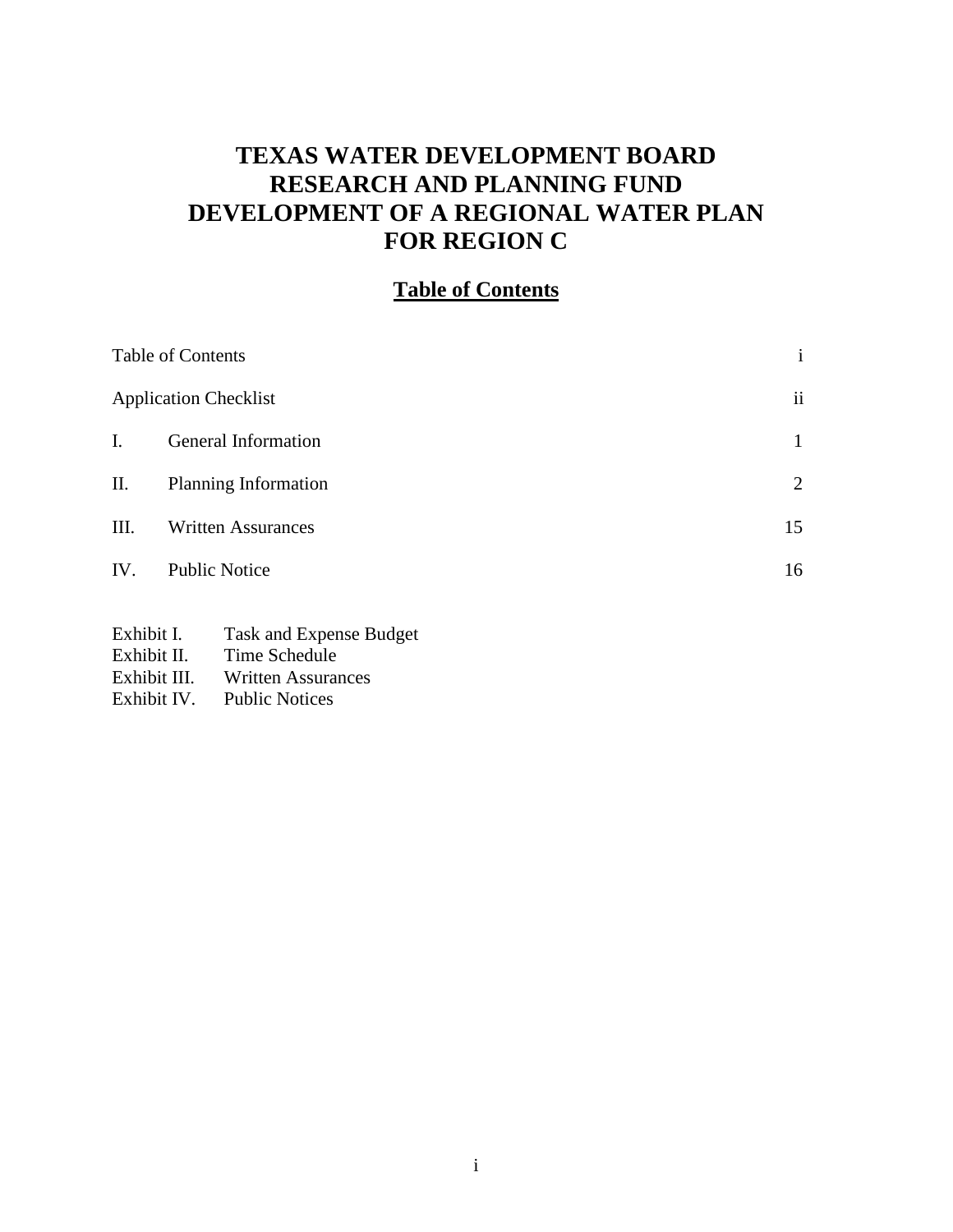# **TEXAS WATER DEVELOPMENT BOARD RESEARCH AND PLANNING FUND DEVELOPMENT OF A REGIONAL WATER PLAN FOR REGION C**

## **Table of Contents**

| Table of Contents | $\mathbf{i}$                 |                         |
|-------------------|------------------------------|-------------------------|
|                   | <b>Application Checklist</b> | $\overline{\mathbf{u}}$ |
| I.                | General Information          | 1                       |
| П.                | Planning Information         | 2                       |
| III.              | <b>Written Assurances</b>    | 15                      |
| IV.               | <b>Public Notice</b>         | 16                      |
|                   |                              |                         |

- Exhibit I. Task and Expense Budget Exhibit II. Time Schedule<br>Exhibit III. Written Assurar
- Exhibit III. Written Assurances<br>Exhibit IV. Public Notices
- Public Notices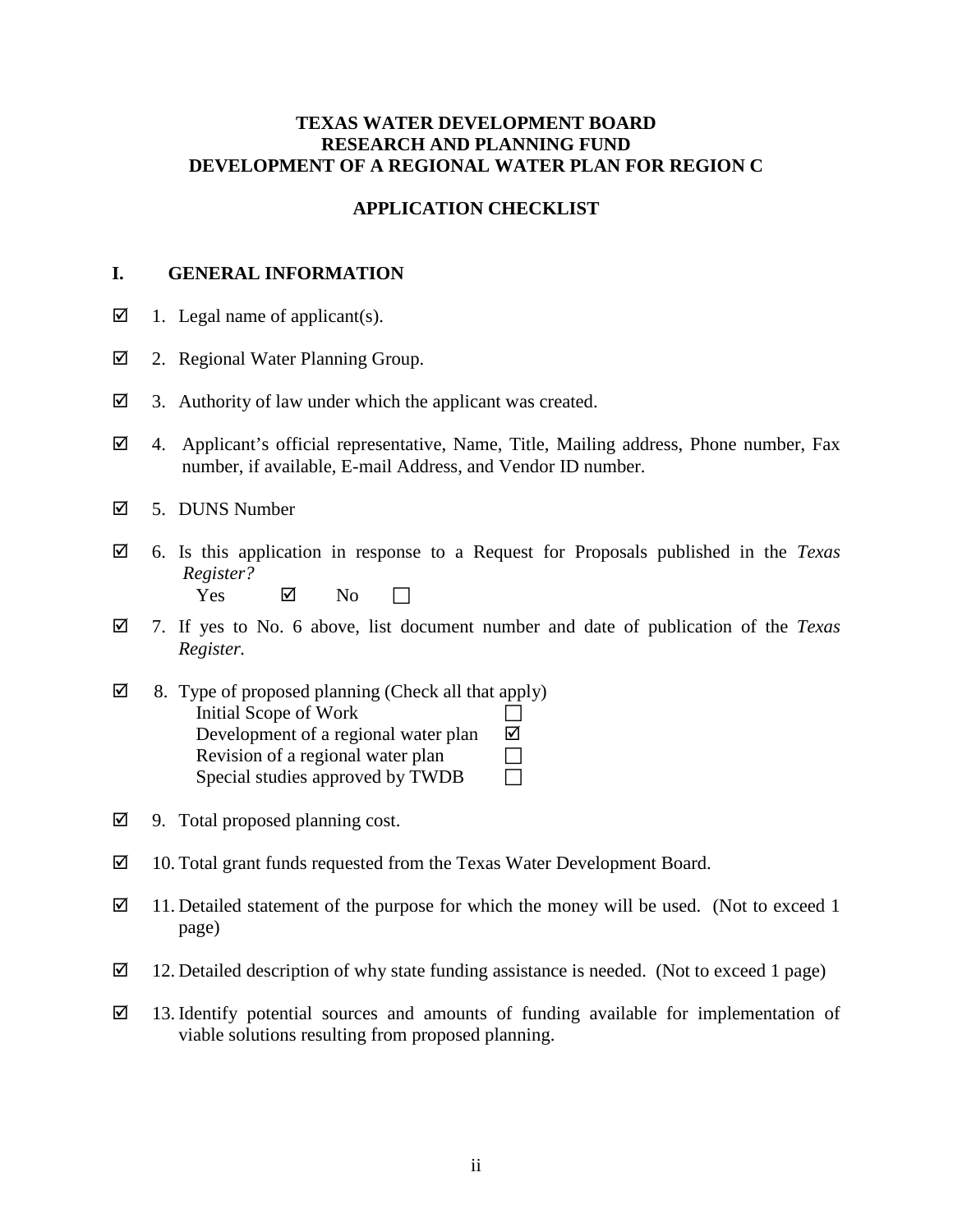#### **TEXAS WATER DEVELOPMENT BOARD RESEARCH AND PLANNING FUND DEVELOPMENT OF A REGIONAL WATER PLAN FOR REGION C**

#### **APPLICATION CHECKLIST**

#### **I. GENERAL INFORMATION**

- $\boxtimes$  1. Legal name of applicant(s).
- 2. Regional Water Planning Group.
- $\boxtimes$  3. Authority of law under which the applicant was created.
- $\boxtimes$  4. Applicant's official representative, Name, Title, Mailing address, Phone number, Fax number, if available, E-mail Address, and Vendor ID number.
- 5. DUNS Number
- 6. Is this application in response to a Request for Proposals published in the *Texas Register?*  $Yes \qquad \nabla \qquad No \qquad \nabla$
- 7. If yes to No. 6 above, list document number and date of publication of the *Texas Register.*
- $\boxtimes$  8. Type of proposed planning (Check all that apply) Initial Scope of Work Development of a regional water plan  $\boxtimes$ Revision of a regional water plan  $\Box$ Special studies approved by TWDB  $\Box$
- $\boxtimes$  9. Total proposed planning cost.
- 10. Total grant funds requested from the Texas Water Development Board.
- $\boxtimes$  11. Detailed statement of the purpose for which the money will be used. (Not to exceed 1 page)
- $\boxtimes$  12. Detailed description of why state funding assistance is needed. (Not to exceed 1 page)
- $\boxtimes$  13. Identify potential sources and amounts of funding available for implementation of viable solutions resulting from proposed planning.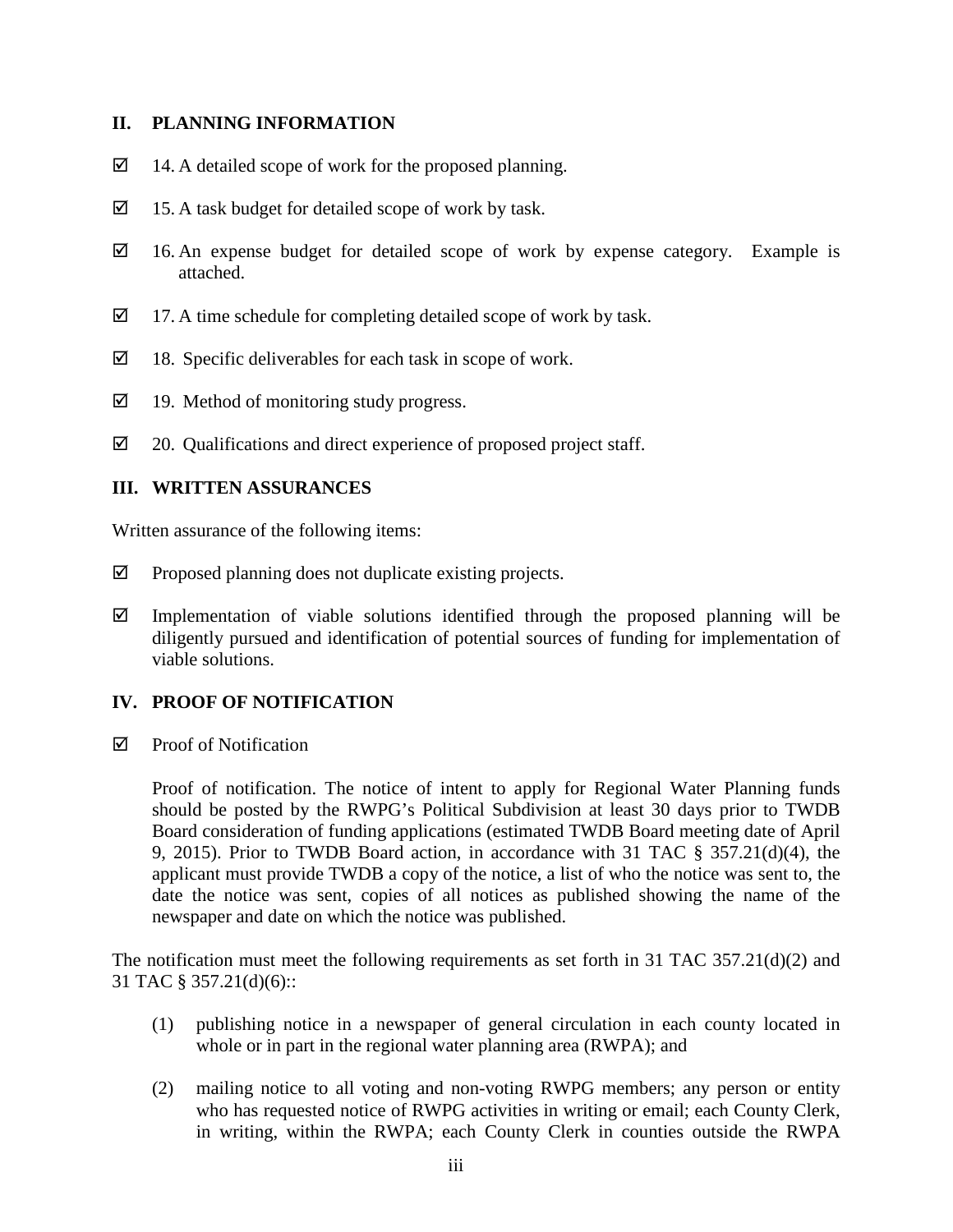### **II. PLANNING INFORMATION**

- $\boxtimes$  14. A detailed scope of work for the proposed planning.
- $\boxtimes$  15. A task budget for detailed scope of work by task.
- $\boxtimes$  16. An expense budget for detailed scope of work by expense category. Example is attached.
- $\boxtimes$  17. A time schedule for completing detailed scope of work by task.
- $\boxtimes$  18. Specific deliverables for each task in scope of work.
- $\boxtimes$  19. Method of monitoring study progress.
- $\boxtimes$  20. Qualifications and direct experience of proposed project staff.

### **III. WRITTEN ASSURANCES**

Written assurance of the following items:

- $\boxtimes$  Proposed planning does not duplicate existing projects.
- $\boxtimes$  Implementation of viable solutions identified through the proposed planning will be diligently pursued and identification of potential sources of funding for implementation of viable solutions.

## **IV. PROOF OF NOTIFICATION**

 $\boxtimes$  Proof of Notification

Proof of notification. The notice of intent to apply for Regional Water Planning funds should be posted by the RWPG's Political Subdivision at least 30 days prior to TWDB Board consideration of funding applications (estimated TWDB Board meeting date of April 9, 2015). Prior to TWDB Board action, in accordance with 31 TAC § 357.21(d)(4), the applicant must provide TWDB a copy of the notice, a list of who the notice was sent to, the date the notice was sent, copies of all notices as published showing the name of the newspaper and date on which the notice was published.

The notification must meet the following requirements as set forth in 31 TAC 357.21(d)(2) and 31 TAC § 357.21(d)(6)::

- (1) publishing notice in a newspaper of general circulation in each county located in whole or in part in the regional water planning area (RWPA); and
- (2) mailing notice to all voting and non-voting RWPG members; any person or entity who has requested notice of RWPG activities in writing or email; each County Clerk, in writing, within the RWPA; each County Clerk in counties outside the RWPA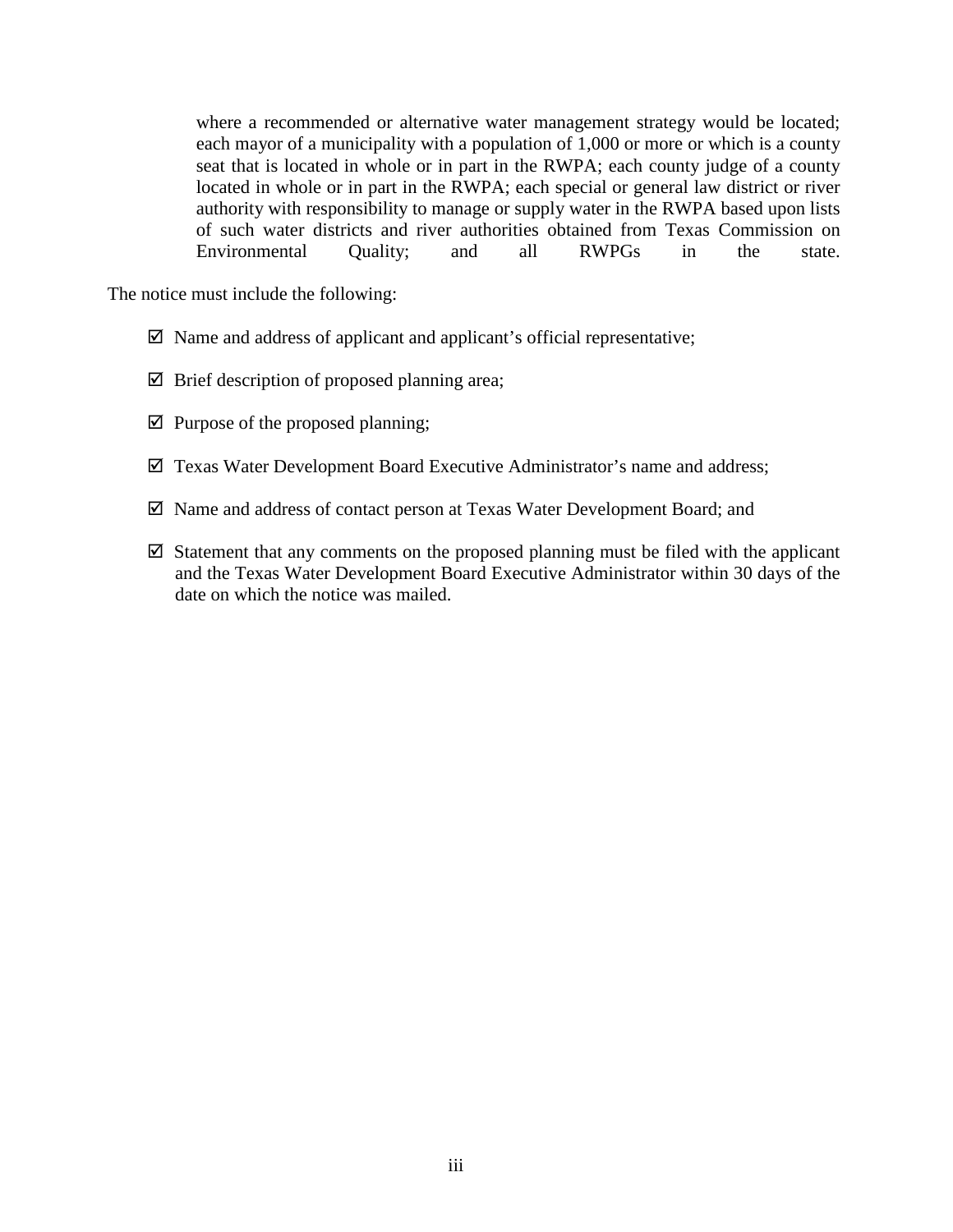where a recommended or alternative water management strategy would be located; each mayor of a municipality with a population of 1,000 or more or which is a county seat that is located in whole or in part in the RWPA; each county judge of a county located in whole or in part in the RWPA; each special or general law district or river authority with responsibility to manage or supply water in the RWPA based upon lists of such water districts and river authorities obtained from Texas Commission on Environmental Quality; and all RWPGs in the state.

The notice must include the following:

- $\boxtimes$  Name and address of applicant and applicant's official representative;
- $\boxtimes$  Brief description of proposed planning area;
- $\boxtimes$  Purpose of the proposed planning;
- $\boxtimes$  Texas Water Development Board Executive Administrator's name and address;
- Name and address of contact person at Texas Water Development Board; and
- $\boxtimes$  Statement that any comments on the proposed planning must be filed with the applicant and the Texas Water Development Board Executive Administrator within 30 days of the date on which the notice was mailed.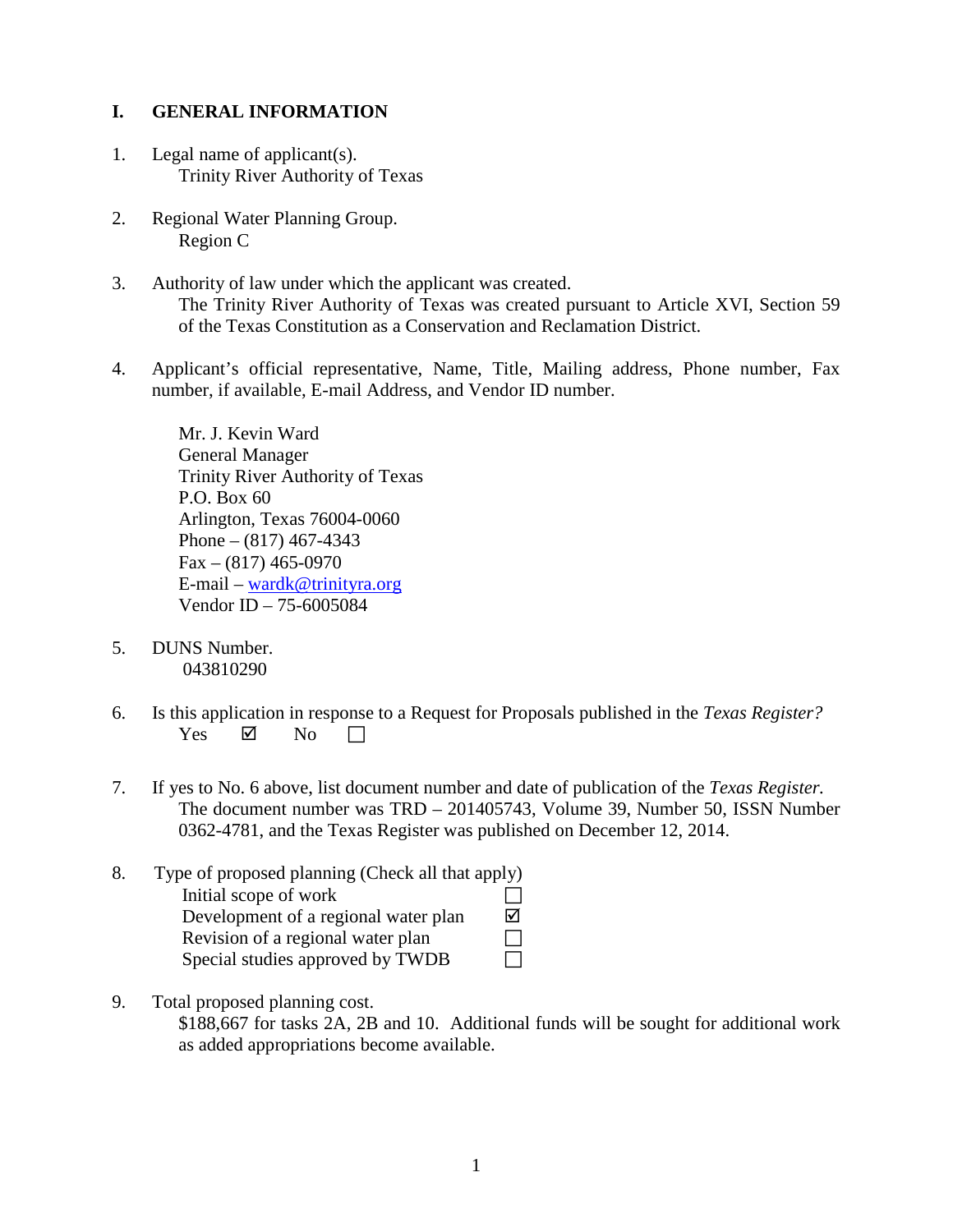## **I. GENERAL INFORMATION**

- 1. Legal name of applicant(s). Trinity River Authority of Texas
- 2. Regional Water Planning Group. Region C
- 3. Authority of law under which the applicant was created. The Trinity River Authority of Texas was created pursuant to Article XVI, Section 59 of the Texas Constitution as a Conservation and Reclamation District.
- 4. Applicant's official representative, Name, Title, Mailing address, Phone number, Fax number, if available, E-mail Address, and Vendor ID number.

Mr. J. Kevin Ward General Manager Trinity River Authority of Texas P.O. Box 60 Arlington, Texas 76004-0060 Phone – (817) 467-4343 Fax – (817) 465-0970 E-mail – [wardk@trinityra.org](mailto:wardk@trinityra.org) Vendor ID – 75-6005084

- 5. DUNS Number. 043810290
- 6. Is this application in response to a Request for Proposals published in the *Texas Register?* Yes  $\boxtimes$  No  $\Box$
- 7. If yes to No. 6 above, list document number and date of publication of the *Texas Register.* The document number was TRD – 201405743, Volume 39, Number 50, ISSN Number 0362-4781, and the Texas Register was published on December 12, 2014.
- 8. Type of proposed planning (Check all that apply) Initial scope of work  $\Box$ Development of a regional water plan  $\Box$ Revision of a regional water plan Special studies approved by TWDB
- 9. Total proposed planning cost.

\$188,667 for tasks 2A, 2B and 10. Additional funds will be sought for additional work as added appropriations become available.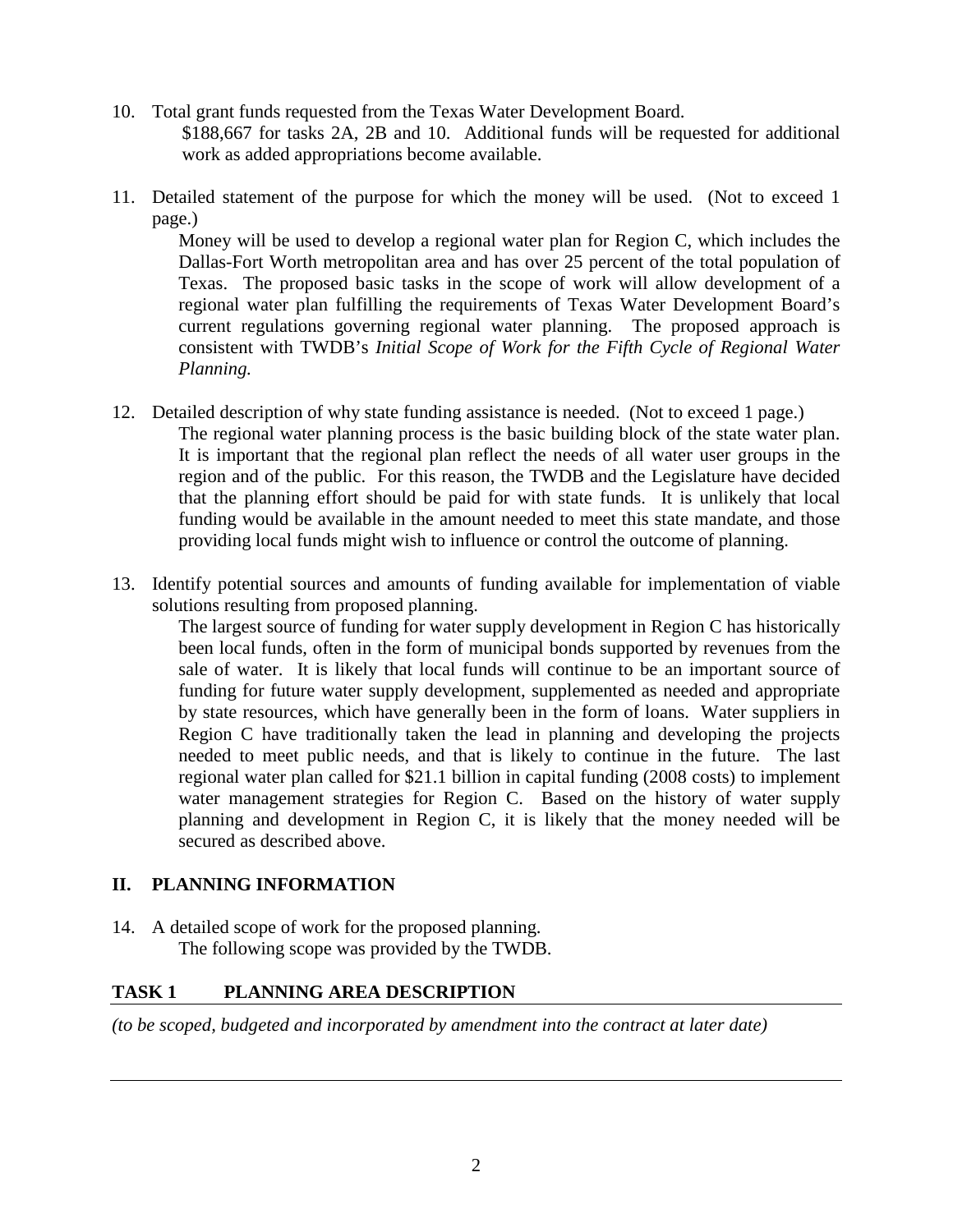- 10. Total grant funds requested from the Texas Water Development Board. \$188,667 for tasks 2A, 2B and 10. Additional funds will be requested for additional work as added appropriations become available.
- 11. Detailed statement of the purpose for which the money will be used. (Not to exceed 1 page.)

Money will be used to develop a regional water plan for Region C, which includes the Dallas-Fort Worth metropolitan area and has over 25 percent of the total population of Texas. The proposed basic tasks in the scope of work will allow development of a regional water plan fulfilling the requirements of Texas Water Development Board's current regulations governing regional water planning. The proposed approach is consistent with TWDB's *Initial Scope of Work for the Fifth Cycle of Regional Water Planning.*

- 12. Detailed description of why state funding assistance is needed. (Not to exceed 1 page.) The regional water planning process is the basic building block of the state water plan. It is important that the regional plan reflect the needs of all water user groups in the region and of the public. For this reason, the TWDB and the Legislature have decided that the planning effort should be paid for with state funds. It is unlikely that local funding would be available in the amount needed to meet this state mandate, and those providing local funds might wish to influence or control the outcome of planning.
- 13. Identify potential sources and amounts of funding available for implementation of viable solutions resulting from proposed planning.

The largest source of funding for water supply development in Region C has historically been local funds, often in the form of municipal bonds supported by revenues from the sale of water. It is likely that local funds will continue to be an important source of funding for future water supply development, supplemented as needed and appropriate by state resources, which have generally been in the form of loans. Water suppliers in Region C have traditionally taken the lead in planning and developing the projects needed to meet public needs, and that is likely to continue in the future. The last regional water plan called for \$21.1 billion in capital funding (2008 costs) to implement water management strategies for Region C. Based on the history of water supply planning and development in Region C, it is likely that the money needed will be secured as described above.

## **II. PLANNING INFORMATION**

14. A detailed scope of work for the proposed planning. The following scope was provided by the TWDB.

## **TASK 1 PLANNING AREA DESCRIPTION**

*(to be scoped, budgeted and incorporated by amendment into the contract at later date)*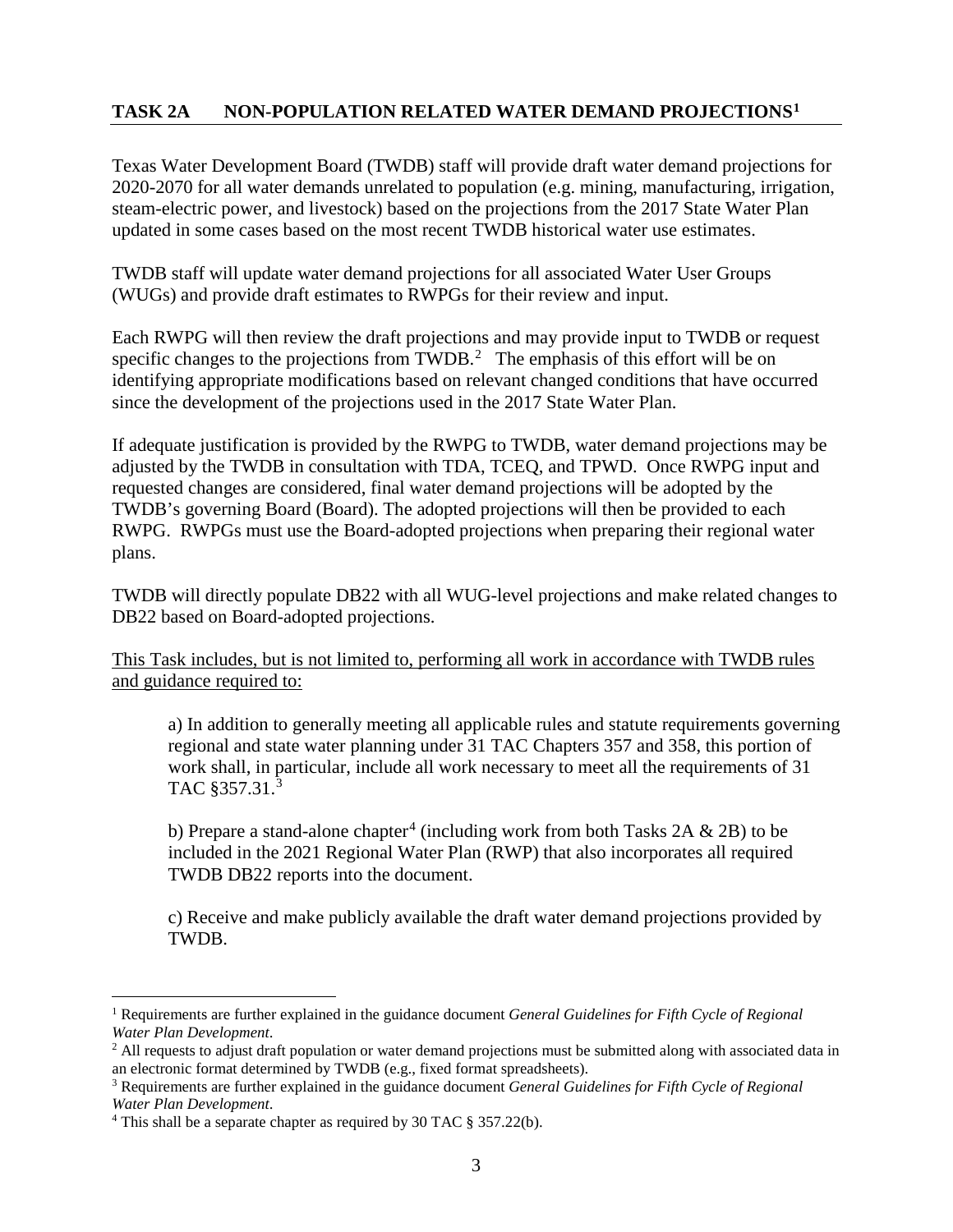## **TASK 2A NON-POPULATION RELATED WATER DEMAND PROJECTIONS[1](#page-7-0)**

Texas Water Development Board (TWDB) staff will provide draft water demand projections for 2020-2070 for all water demands unrelated to population (e.g. mining, manufacturing, irrigation, steam-electric power, and livestock) based on the projections from the 2017 State Water Plan updated in some cases based on the most recent TWDB historical water use estimates.

TWDB staff will update water demand projections for all associated Water User Groups (WUGs) and provide draft estimates to RWPGs for their review and input.

Each RWPG will then review the draft projections and may provide input to TWDB or request specific changes to the projections from TWDB.<sup>[2](#page-7-1)</sup> The emphasis of this effort will be on identifying appropriate modifications based on relevant changed conditions that have occurred since the development of the projections used in the 2017 State Water Plan.

If adequate justification is provided by the RWPG to TWDB, water demand projections may be adjusted by the TWDB in consultation with TDA, TCEQ, and TPWD. Once RWPG input and requested changes are considered, final water demand projections will be adopted by the TWDB's governing Board (Board). The adopted projections will then be provided to each RWPG. RWPGs must use the Board-adopted projections when preparing their regional water plans.

TWDB will directly populate DB22 with all WUG-level projections and make related changes to DB22 based on Board-adopted projections.

This Task includes, but is not limited to, performing all work in accordance with TWDB rules and guidance required to:

a) In addition to generally meeting all applicable rules and statute requirements governing regional and state water planning under 31 TAC Chapters 357 and 358, this portion of work shall, in particular, include all work necessary to meet all the requirements of 31 TAC §357.31.[3](#page-7-2)

b) Prepare a stand-alone chapter<sup>[4](#page-7-3)</sup> (including work from both Tasks 2A  $\&$  2B) to be included in the 2021 Regional Water Plan (RWP) that also incorporates all required TWDB DB22 reports into the document.

c) Receive and make publicly available the draft water demand projections provided by TWDB.

 $\overline{a}$ 

<span id="page-7-0"></span><sup>1</sup> Requirements are further explained in the guidance document *General Guidelines for Fifth Cycle of Regional Water Plan Development*.

<span id="page-7-1"></span><sup>&</sup>lt;sup>2</sup> All requests to adjust draft population or water demand projections must be submitted along with associated data in an electronic format determined by TWDB (e.g., fixed format spreadsheets).

<span id="page-7-2"></span><sup>3</sup> Requirements are further explained in the guidance document *General Guidelines for Fifth Cycle of Regional Water Plan Development*.

<span id="page-7-3"></span><sup>4</sup> This shall be a separate chapter as required by 30 TAC § 357.22(b).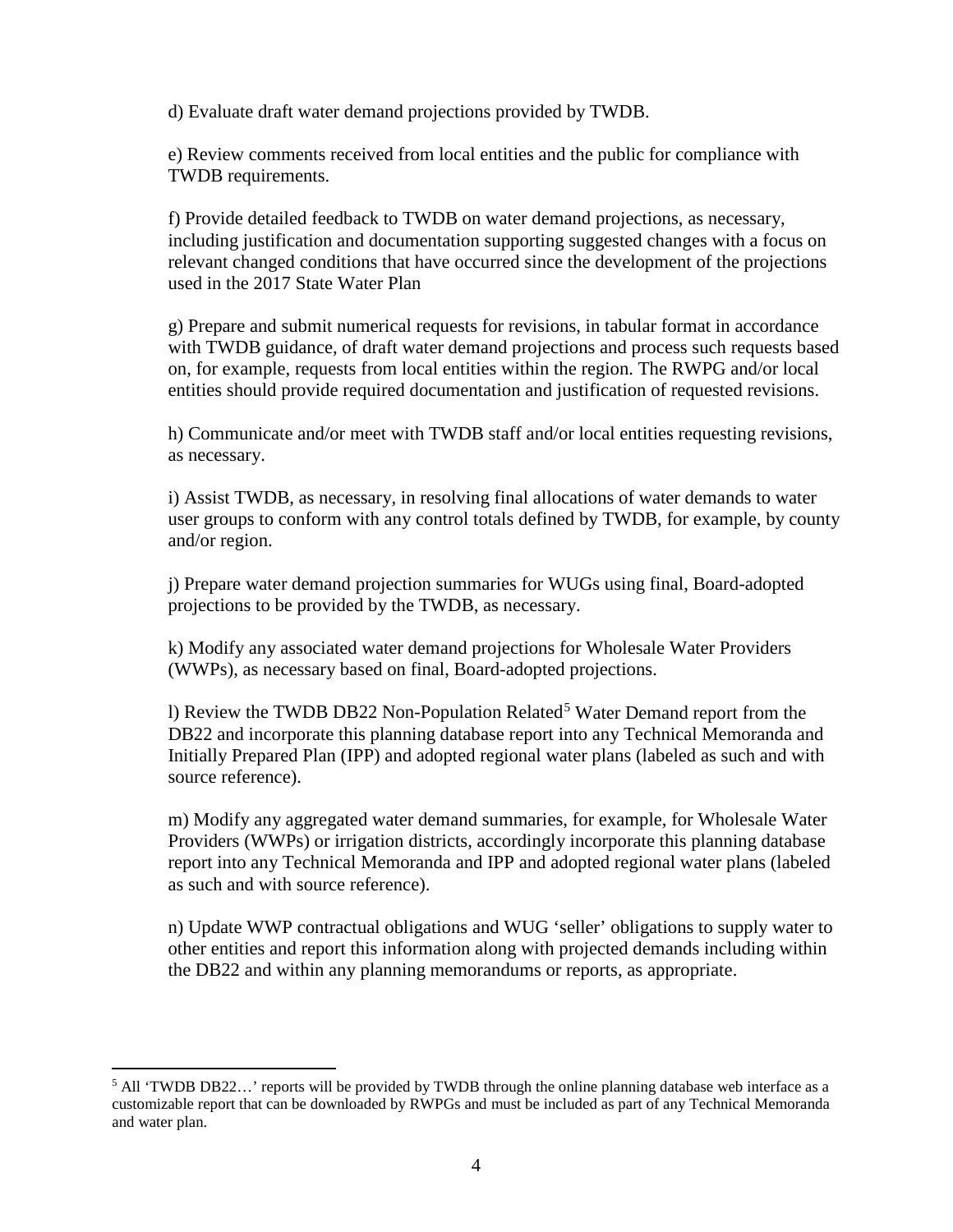d) Evaluate draft water demand projections provided by TWDB.

e) Review comments received from local entities and the public for compliance with TWDB requirements.

f) Provide detailed feedback to TWDB on water demand projections, as necessary, including justification and documentation supporting suggested changes with a focus on relevant changed conditions that have occurred since the development of the projections used in the 2017 State Water Plan

g) Prepare and submit numerical requests for revisions, in tabular format in accordance with TWDB guidance, of draft water demand projections and process such requests based on, for example, requests from local entities within the region. The RWPG and/or local entities should provide required documentation and justification of requested revisions.

h) Communicate and/or meet with TWDB staff and/or local entities requesting revisions, as necessary.

i) Assist TWDB, as necessary, in resolving final allocations of water demands to water user groups to conform with any control totals defined by TWDB, for example, by county and/or region.

j) Prepare water demand projection summaries for WUGs using final, Board-adopted projections to be provided by the TWDB, as necessary.

k) Modify any associated water demand projections for Wholesale Water Providers (WWPs), as necessary based on final, Board-adopted projections.

l) Review the TWDB DB22 Non-Population Related<sup>[5](#page-8-0)</sup> Water Demand report from the DB22 and incorporate this planning database report into any Technical Memoranda and Initially Prepared Plan (IPP) and adopted regional water plans (labeled as such and with source reference).

m) Modify any aggregated water demand summaries, for example, for Wholesale Water Providers (WWPs) or irrigation districts, accordingly incorporate this planning database report into any Technical Memoranda and IPP and adopted regional water plans (labeled as such and with source reference).

n) Update WWP contractual obligations and WUG 'seller' obligations to supply water to other entities and report this information along with projected demands including within the DB22 and within any planning memorandums or reports, as appropriate.

 $\overline{a}$ 

<span id="page-8-0"></span><sup>5</sup> All 'TWDB DB22…' reports will be provided by TWDB through the online planning database web interface as a customizable report that can be downloaded by RWPGs and must be included as part of any Technical Memoranda and water plan.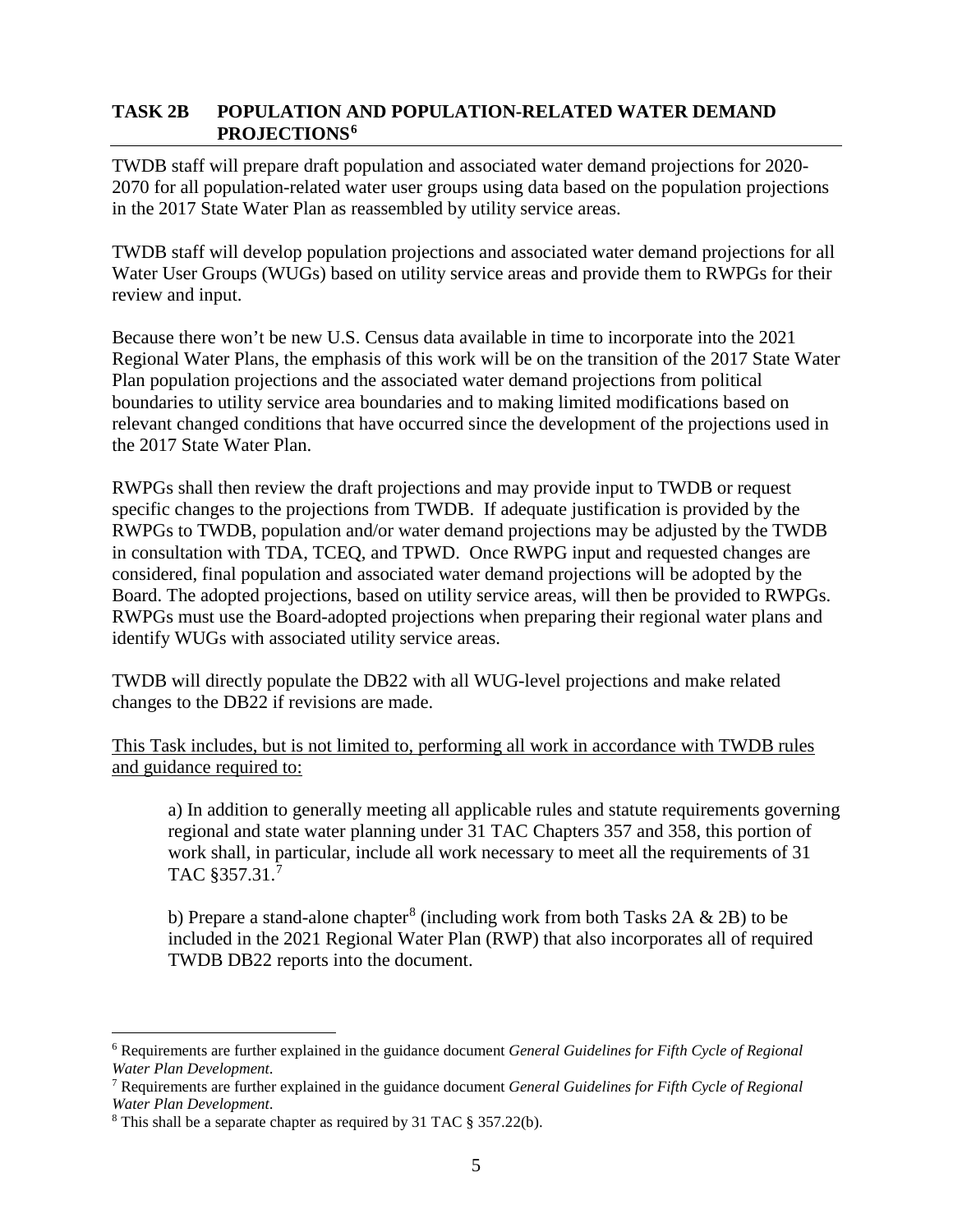### **TASK 2B POPULATION AND POPULATION-RELATED WATER DEMAND PROJECTIONS[6](#page-9-0)**

TWDB staff will prepare draft population and associated water demand projections for 2020- 2070 for all population-related water user groups using data based on the population projections in the 2017 State Water Plan as reassembled by utility service areas.

TWDB staff will develop population projections and associated water demand projections for all Water User Groups (WUGs) based on utility service areas and provide them to RWPGs for their review and input.

Because there won't be new U.S. Census data available in time to incorporate into the 2021 Regional Water Plans, the emphasis of this work will be on the transition of the 2017 State Water Plan population projections and the associated water demand projections from political boundaries to utility service area boundaries and to making limited modifications based on relevant changed conditions that have occurred since the development of the projections used in the 2017 State Water Plan.

RWPGs shall then review the draft projections and may provide input to TWDB or request specific changes to the projections from TWDB. If adequate justification is provided by the RWPGs to TWDB, population and/or water demand projections may be adjusted by the TWDB in consultation with TDA, TCEQ, and TPWD. Once RWPG input and requested changes are considered, final population and associated water demand projections will be adopted by the Board. The adopted projections, based on utility service areas, will then be provided to RWPGs. RWPGs must use the Board-adopted projections when preparing their regional water plans and identify WUGs with associated utility service areas.

TWDB will directly populate the DB22 with all WUG-level projections and make related changes to the DB22 if revisions are made.

This Task includes, but is not limited to, performing all work in accordance with TWDB rules and guidance required to:

a) In addition to generally meeting all applicable rules and statute requirements governing regional and state water planning under 31 TAC Chapters 357 and 358, this portion of work shall, in particular, include all work necessary to meet all the requirements of 31 TAC §357.31.[7](#page-9-1)

b) Prepare a stand-alone chapter<sup>[8](#page-9-2)</sup> (including work from both Tasks 2A  $\&$  2B) to be included in the 2021 Regional Water Plan (RWP) that also incorporates all of required TWDB DB22 reports into the document.

<span id="page-9-0"></span><sup>6</sup> Requirements are further explained in the guidance document *General Guidelines for Fifth Cycle of Regional Water Plan Development*.  $\overline{a}$ 

<span id="page-9-1"></span><sup>7</sup> Requirements are further explained in the guidance document *General Guidelines for Fifth Cycle of Regional Water Plan Development*.

<span id="page-9-2"></span><sup>8</sup> This shall be a separate chapter as required by 31 TAC § 357.22(b).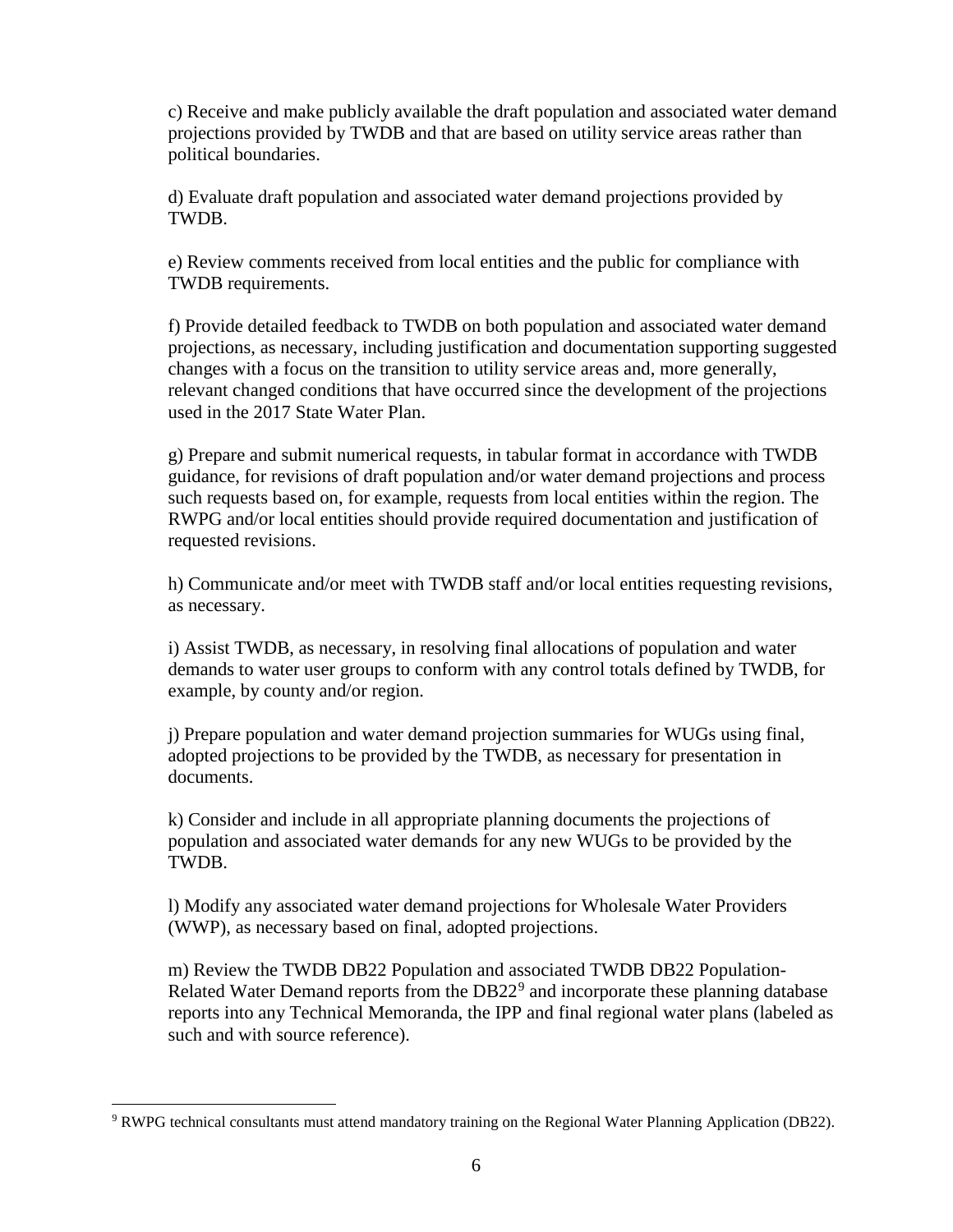c) Receive and make publicly available the draft population and associated water demand projections provided by TWDB and that are based on utility service areas rather than political boundaries.

d) Evaluate draft population and associated water demand projections provided by TWDB.

e) Review comments received from local entities and the public for compliance with TWDB requirements.

f) Provide detailed feedback to TWDB on both population and associated water demand projections, as necessary, including justification and documentation supporting suggested changes with a focus on the transition to utility service areas and, more generally, relevant changed conditions that have occurred since the development of the projections used in the 2017 State Water Plan.

g) Prepare and submit numerical requests, in tabular format in accordance with TWDB guidance, for revisions of draft population and/or water demand projections and process such requests based on, for example, requests from local entities within the region. The RWPG and/or local entities should provide required documentation and justification of requested revisions.

h) Communicate and/or meet with TWDB staff and/or local entities requesting revisions, as necessary.

i) Assist TWDB, as necessary, in resolving final allocations of population and water demands to water user groups to conform with any control totals defined by TWDB, for example, by county and/or region.

j) Prepare population and water demand projection summaries for WUGs using final, adopted projections to be provided by the TWDB, as necessary for presentation in documents.

k) Consider and include in all appropriate planning documents the projections of population and associated water demands for any new WUGs to be provided by the TWDB.

l) Modify any associated water demand projections for Wholesale Water Providers (WWP), as necessary based on final, adopted projections.

m) Review the TWDB DB22 Population and associated TWDB DB22 Population-Related Water Demand reports from the  $DB22<sup>9</sup>$  $DB22<sup>9</sup>$  $DB22<sup>9</sup>$  and incorporate these planning database reports into any Technical Memoranda, the IPP and final regional water plans (labeled as such and with source reference).

 $\overline{a}$ 

<span id="page-10-0"></span><sup>9</sup> RWPG technical consultants must attend mandatory training on the Regional Water Planning Application (DB22).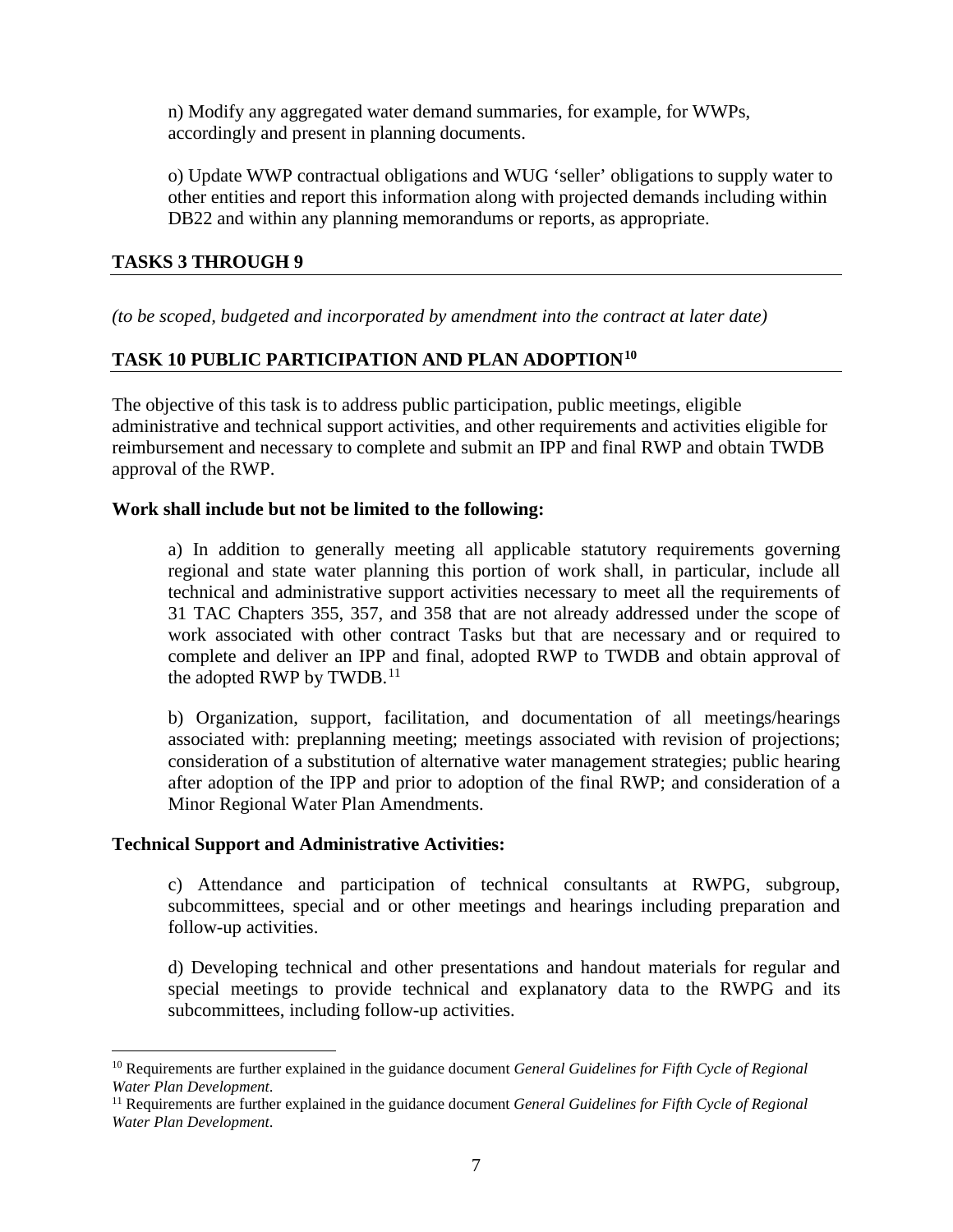n) Modify any aggregated water demand summaries, for example, for WWPs, accordingly and present in planning documents.

o) Update WWP contractual obligations and WUG 'seller' obligations to supply water to other entities and report this information along with projected demands including within DB22 and within any planning memorandums or reports, as appropriate.

## **TASKS 3 THROUGH 9**

*(to be scoped, budgeted and incorporated by amendment into the contract at later date)*

## **TASK 10 PUBLIC PARTICIPATION AND PLAN ADOPTION[10](#page-11-0)**

The objective of this task is to address public participation, public meetings, eligible administrative and technical support activities, and other requirements and activities eligible for reimbursement and necessary to complete and submit an IPP and final RWP and obtain TWDB approval of the RWP.

#### **Work shall include but not be limited to the following:**

a) In addition to generally meeting all applicable statutory requirements governing regional and state water planning this portion of work shall, in particular, include all technical and administrative support activities necessary to meet all the requirements of 31 TAC Chapters 355, 357, and 358 that are not already addressed under the scope of work associated with other contract Tasks but that are necessary and or required to complete and deliver an IPP and final, adopted RWP to TWDB and obtain approval of the adopted RWP by TWDB.<sup>[11](#page-11-1)</sup>

b) Organization, support, facilitation, and documentation of all meetings/hearings associated with: preplanning meeting; meetings associated with revision of projections; consideration of a substitution of alternative water management strategies; public hearing after adoption of the IPP and prior to adoption of the final RWP; and consideration of a Minor Regional Water Plan Amendments.

#### **Technical Support and Administrative Activities:**

c) Attendance and participation of technical consultants at RWPG, subgroup, subcommittees, special and or other meetings and hearings including preparation and follow-up activities.

d) Developing technical and other presentations and handout materials for regular and special meetings to provide technical and explanatory data to the RWPG and its subcommittees, including follow-up activities.

<span id="page-11-0"></span><sup>10</sup> Requirements are further explained in the guidance document *General Guidelines for Fifth Cycle of Regional Water Plan Development*.  $\overline{a}$ 

<span id="page-11-1"></span><sup>11</sup> Requirements are further explained in the guidance document *General Guidelines for Fifth Cycle of Regional Water Plan Development*.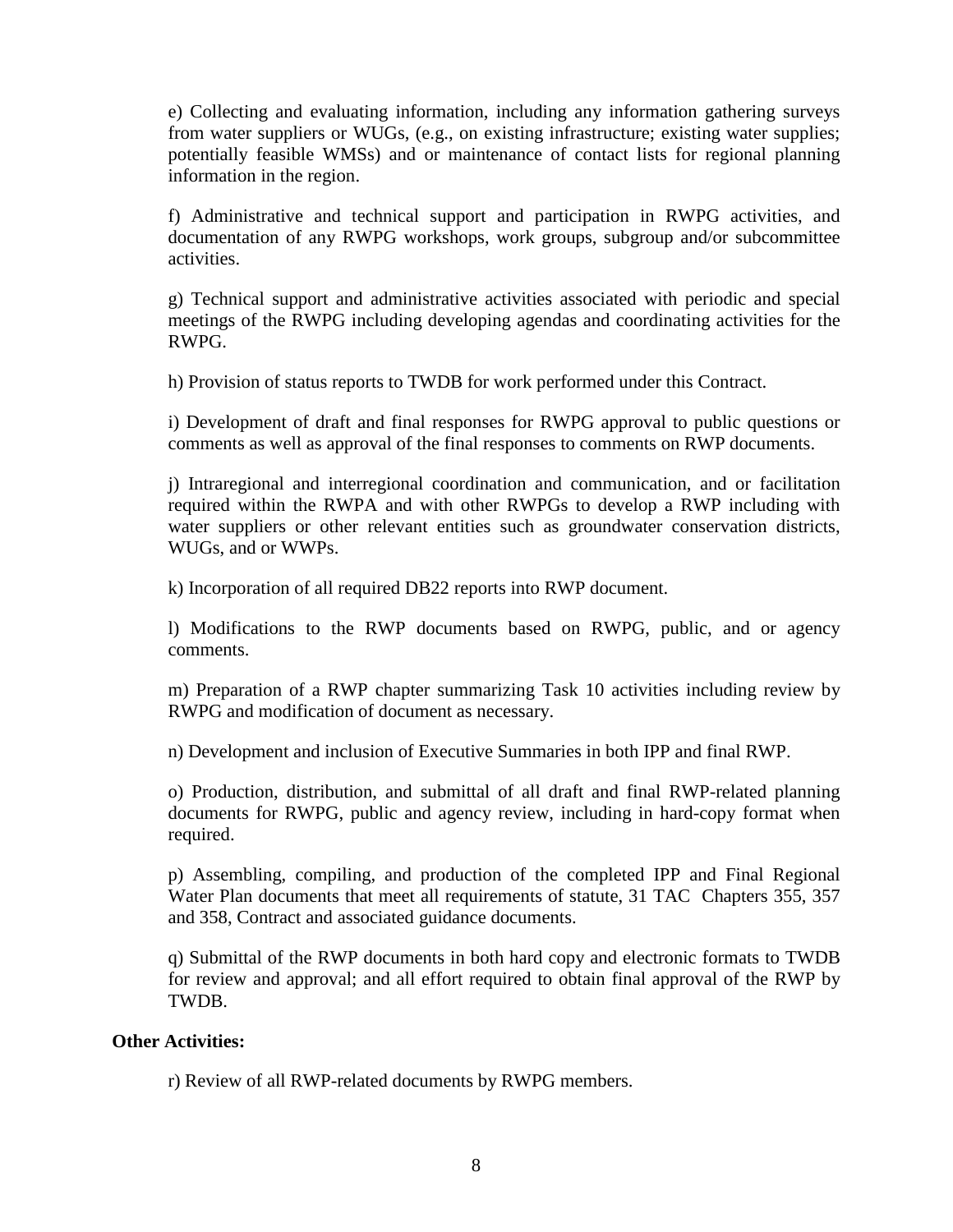e) Collecting and evaluating information, including any information gathering surveys from water suppliers or WUGs, (e.g., on existing infrastructure; existing water supplies; potentially feasible WMSs) and or maintenance of contact lists for regional planning information in the region.

f) Administrative and technical support and participation in RWPG activities, and documentation of any RWPG workshops, work groups, subgroup and/or subcommittee activities.

g) Technical support and administrative activities associated with periodic and special meetings of the RWPG including developing agendas and coordinating activities for the RWPG.

h) Provision of status reports to TWDB for work performed under this Contract.

i) Development of draft and final responses for RWPG approval to public questions or comments as well as approval of the final responses to comments on RWP documents.

j) Intraregional and interregional coordination and communication, and or facilitation required within the RWPA and with other RWPGs to develop a RWP including with water suppliers or other relevant entities such as groundwater conservation districts, WUGs, and or WWPs.

k) Incorporation of all required DB22 reports into RWP document.

l) Modifications to the RWP documents based on RWPG, public, and or agency comments.

m) Preparation of a RWP chapter summarizing Task 10 activities including review by RWPG and modification of document as necessary.

n) Development and inclusion of Executive Summaries in both IPP and final RWP.

o) Production, distribution, and submittal of all draft and final RWP-related planning documents for RWPG, public and agency review, including in hard-copy format when required.

p) Assembling, compiling, and production of the completed IPP and Final Regional Water Plan documents that meet all requirements of statute, 31 TAC Chapters 355, 357 and 358, Contract and associated guidance documents.

q) Submittal of the RWP documents in both hard copy and electronic formats to TWDB for review and approval; and all effort required to obtain final approval of the RWP by TWDB.

#### **Other Activities:**

r) Review of all RWP-related documents by RWPG members.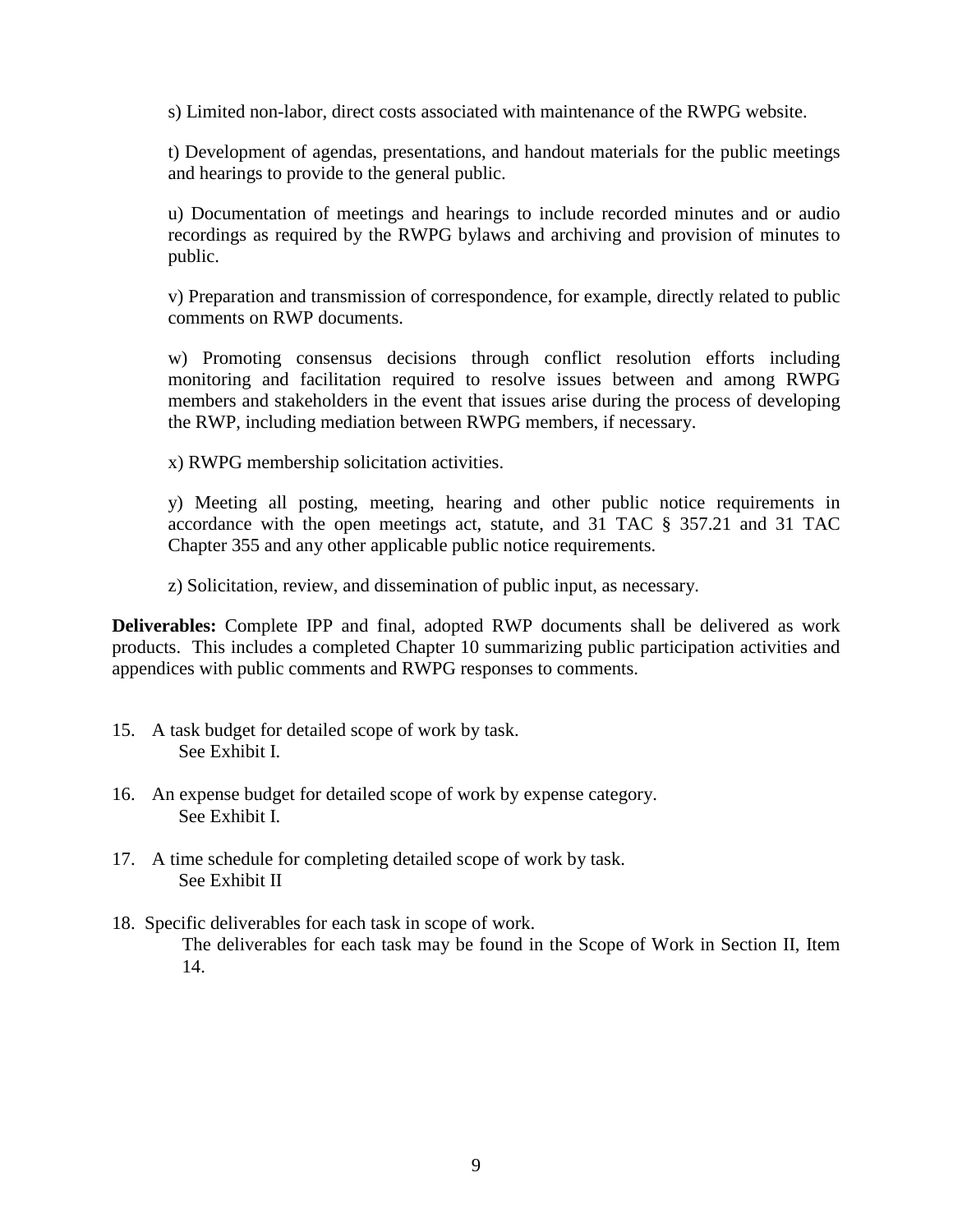s) Limited non-labor, direct costs associated with maintenance of the RWPG website.

t) Development of agendas, presentations, and handout materials for the public meetings and hearings to provide to the general public.

u) Documentation of meetings and hearings to include recorded minutes and or audio recordings as required by the RWPG bylaws and archiving and provision of minutes to public.

v) Preparation and transmission of correspondence, for example, directly related to public comments on RWP documents.

w) Promoting consensus decisions through conflict resolution efforts including monitoring and facilitation required to resolve issues between and among RWPG members and stakeholders in the event that issues arise during the process of developing the RWP, including mediation between RWPG members, if necessary.

x) RWPG membership solicitation activities.

y) Meeting all posting, meeting, hearing and other public notice requirements in accordance with the open meetings act, statute, and 31 TAC § 357.21 and 31 TAC Chapter 355 and any other applicable public notice requirements.

z) Solicitation, review, and dissemination of public input, as necessary.

**Deliverables:** Complete IPP and final, adopted RWP documents shall be delivered as work products. This includes a completed Chapter 10 summarizing public participation activities and appendices with public comments and RWPG responses to comments.

- 15. A task budget for detailed scope of work by task. See Exhibit I.
- 16. An expense budget for detailed scope of work by expense category. See Exhibit I.
- 17. A time schedule for completing detailed scope of work by task. See Exhibit II
- 18. Specific deliverables for each task in scope of work. The deliverables for each task may be found in the Scope of Work in Section II, Item 14.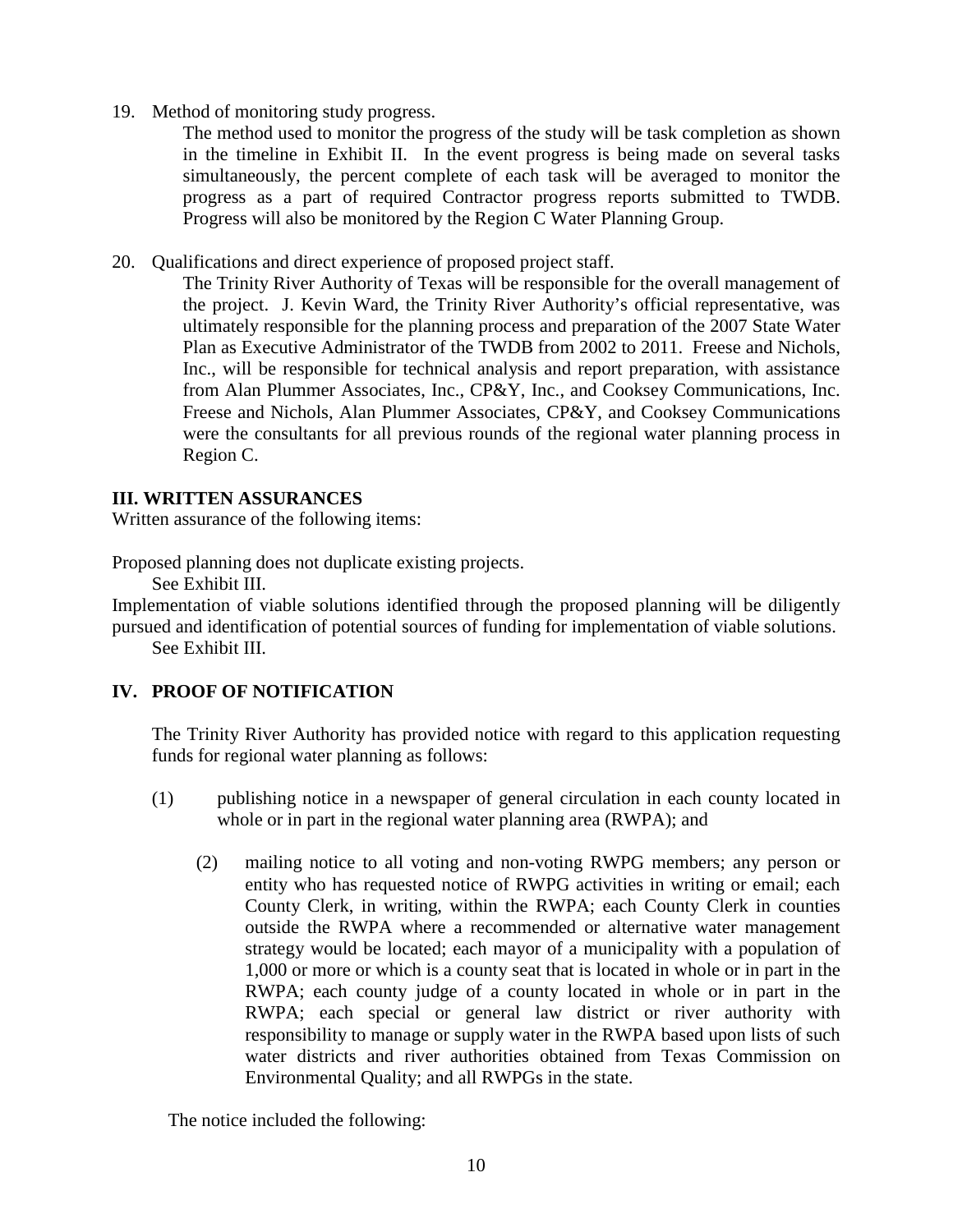19. Method of monitoring study progress.

The method used to monitor the progress of the study will be task completion as shown in the timeline in Exhibit II. In the event progress is being made on several tasks simultaneously, the percent complete of each task will be averaged to monitor the progress as a part of required Contractor progress reports submitted to TWDB. Progress will also be monitored by the Region C Water Planning Group.

20. Qualifications and direct experience of proposed project staff.

The Trinity River Authority of Texas will be responsible for the overall management of the project. J. Kevin Ward, the Trinity River Authority's official representative, was ultimately responsible for the planning process and preparation of the 2007 State Water Plan as Executive Administrator of the TWDB from 2002 to 2011. Freese and Nichols, Inc., will be responsible for technical analysis and report preparation, with assistance from Alan Plummer Associates, Inc., CP&Y, Inc., and Cooksey Communications, Inc. Freese and Nichols, Alan Plummer Associates, CP&Y, and Cooksey Communications were the consultants for all previous rounds of the regional water planning process in Region C.

#### **III. WRITTEN ASSURANCES**

Written assurance of the following items:

Proposed planning does not duplicate existing projects.

See Exhibit III.

Implementation of viable solutions identified through the proposed planning will be diligently pursued and identification of potential sources of funding for implementation of viable solutions. See Exhibit III.

## **IV. PROOF OF NOTIFICATION**

The Trinity River Authority has provided notice with regard to this application requesting funds for regional water planning as follows:

- (1) publishing notice in a newspaper of general circulation in each county located in whole or in part in the regional water planning area (RWPA); and
	- (2) mailing notice to all voting and non-voting RWPG members; any person or entity who has requested notice of RWPG activities in writing or email; each County Clerk, in writing, within the RWPA; each County Clerk in counties outside the RWPA where a recommended or alternative water management strategy would be located; each mayor of a municipality with a population of 1,000 or more or which is a county seat that is located in whole or in part in the RWPA; each county judge of a county located in whole or in part in the RWPA; each special or general law district or river authority with responsibility to manage or supply water in the RWPA based upon lists of such water districts and river authorities obtained from Texas Commission on Environmental Quality; and all RWPGs in the state.

The notice included the following: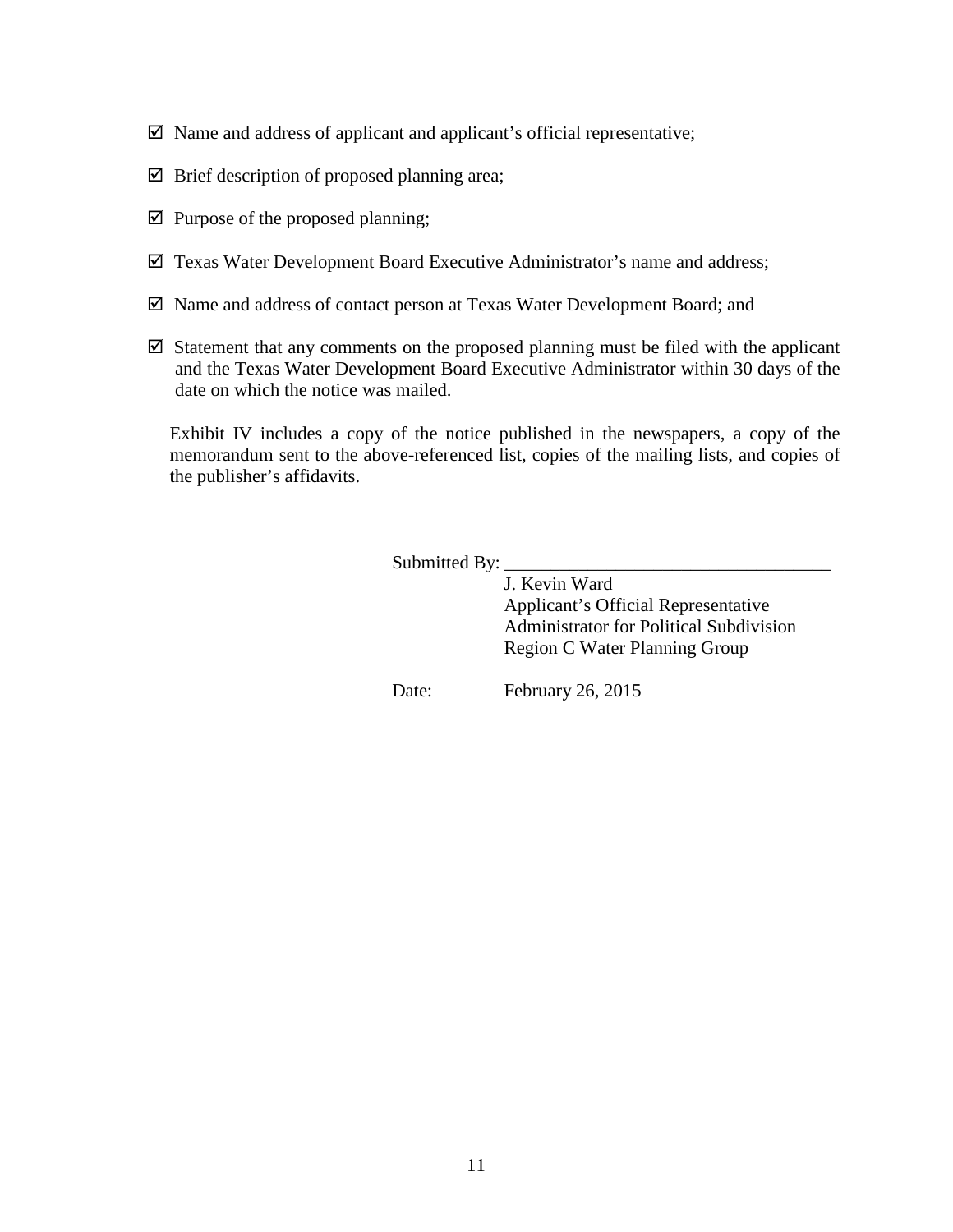- $\boxtimes$  Name and address of applicant and applicant's official representative;
- $\boxtimes$  Brief description of proposed planning area;
- $\boxtimes$  Purpose of the proposed planning;
- $\boxtimes$  Texas Water Development Board Executive Administrator's name and address;
- $\boxtimes$  Name and address of contact person at Texas Water Development Board; and
- $\boxtimes$  Statement that any comments on the proposed planning must be filed with the applicant and the Texas Water Development Board Executive Administrator within 30 days of the date on which the notice was mailed.

Exhibit IV includes a copy of the notice published in the newspapers, a copy of the memorandum sent to the above-referenced list, copies of the mailing lists, and copies of the publisher's affidavits.

Submitted By:

J. Kevin Ward Applicant's Official Representative Administrator for Political Subdivision Region C Water Planning Group

Date: February 26, 2015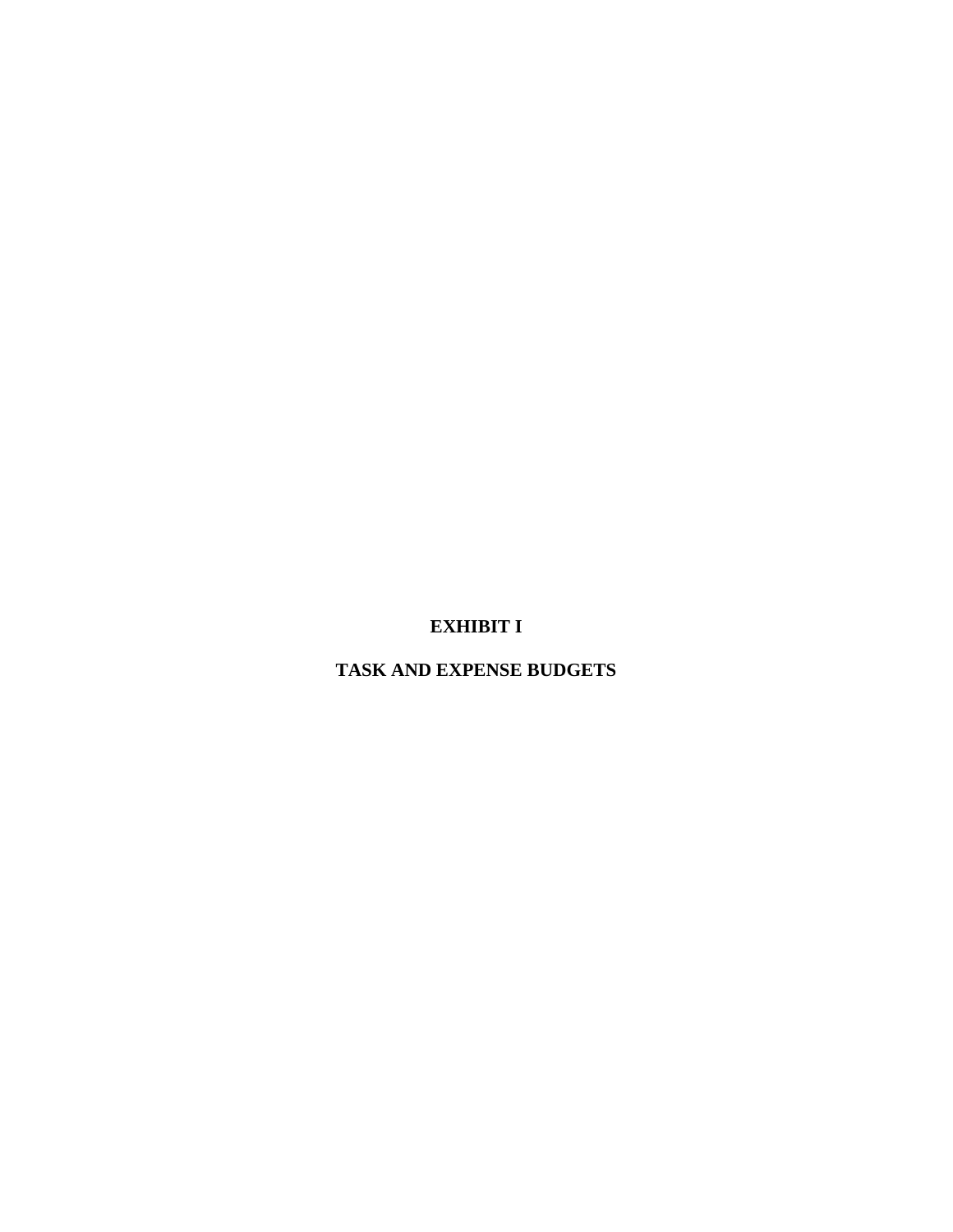## **EXHIBIT I**

**TASK AND EXPENSE BUDGETS**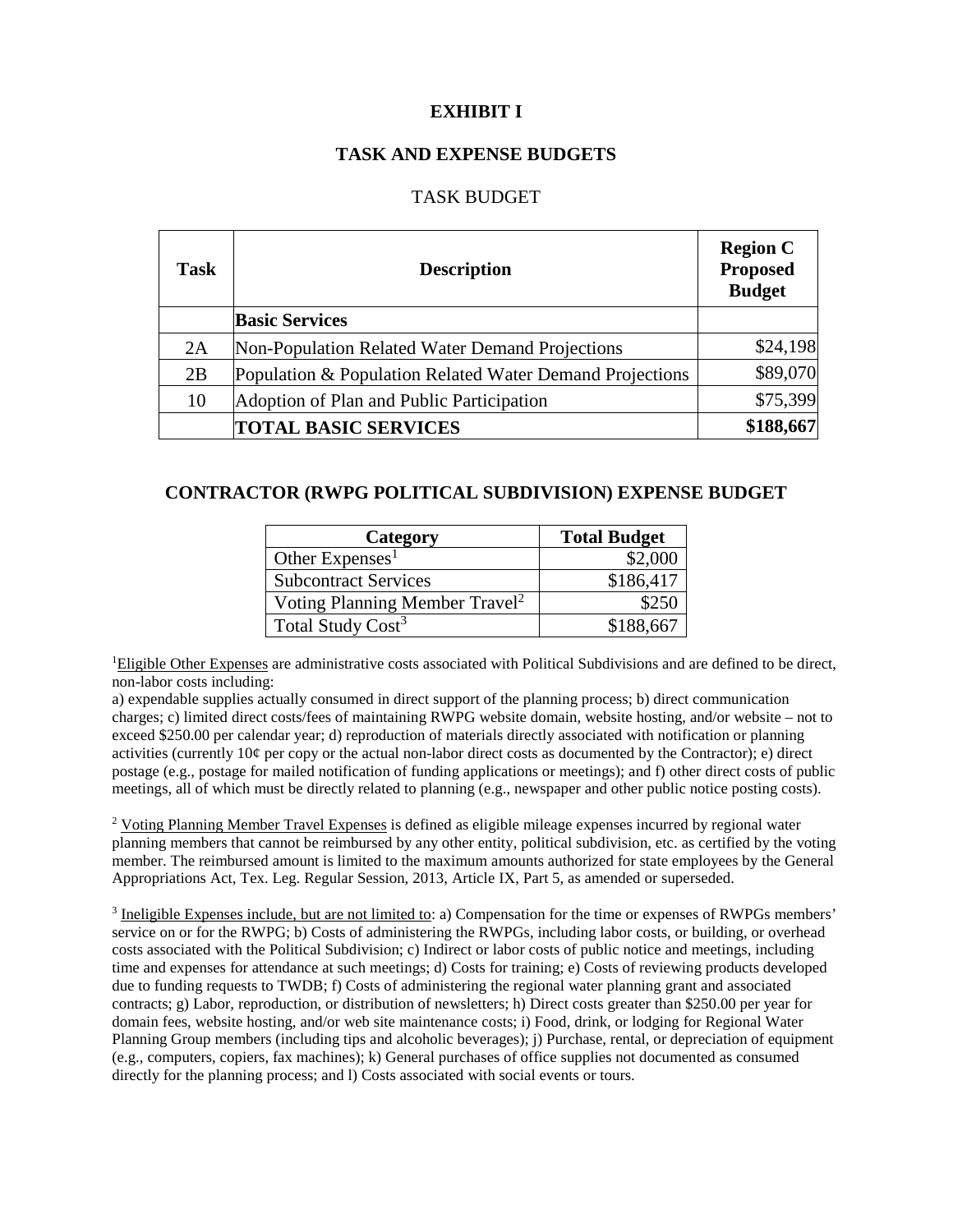### **EXHIBIT I**

#### **TASK AND EXPENSE BUDGETS**

#### TASK BUDGET

| <b>Task</b> | <b>Description</b>                                       | <b>Region C</b><br><b>Proposed</b><br><b>Budget</b> |  |  |  |
|-------------|----------------------------------------------------------|-----------------------------------------------------|--|--|--|
|             | <b>Basic Services</b>                                    |                                                     |  |  |  |
| 2A          | Non-Population Related Water Demand Projections          | \$24,198                                            |  |  |  |
| 2B          | Population & Population Related Water Demand Projections | \$89,070                                            |  |  |  |
| 10          | Adoption of Plan and Public Participation                | \$75,399                                            |  |  |  |
|             | <b>TOTAL BASIC SERVICES</b>                              | \$188,667                                           |  |  |  |

#### **CONTRACTOR (RWPG POLITICAL SUBDIVISION) EXPENSE BUDGET**

| Category                                   | <b>Total Budget</b> |
|--------------------------------------------|---------------------|
| Other $Express1$                           | \$2,000             |
| <b>Subcontract Services</b>                | \$186,417           |
| Voting Planning Member Travel <sup>2</sup> | \$250               |
| Total Study Cost <sup>3</sup>              | \$188,667           |

<sup>1</sup>Eligible Other Expenses are administrative costs associated with Political Subdivisions and are defined to be direct, non-labor costs including:

a) expendable supplies actually consumed in direct support of the planning process; b) direct communication charges; c) limited direct costs/fees of maintaining RWPG website domain, website hosting, and/or website – not to exceed \$250.00 per calendar year; d) reproduction of materials directly associated with notification or planning activities (currently 10¢ per copy or the actual non-labor direct costs as documented by the Contractor); e) direct postage (e.g., postage for mailed notification of funding applications or meetings); and f) other direct costs of public meetings, all of which must be directly related to planning (e.g., newspaper and other public notice posting costs).

<sup>2</sup> Voting Planning Member Travel Expenses is defined as eligible mileage expenses incurred by regional water planning members that cannot be reimbursed by any other entity, political subdivision, etc. as certified by the voting member. The reimbursed amount is limited to the maximum amounts authorized for state employees by the General Appropriations Act, Tex. Leg. Regular Session, 2013, Article IX, Part 5, as amended or superseded.

<sup>3</sup> Ineligible Expenses include, but are not limited to: a) Compensation for the time or expenses of RWPGs members' service on or for the RWPG; b) Costs of administering the RWPGs, including labor costs, or building, or overhead costs associated with the Political Subdivision; c) Indirect or labor costs of public notice and meetings, including time and expenses for attendance at such meetings; d) Costs for training; e) Costs of reviewing products developed due to funding requests to TWDB; f) Costs of administering the regional water planning grant and associated contracts; g) Labor, reproduction, or distribution of newsletters; h) Direct costs greater than \$250.00 per year for domain fees, website hosting, and/or web site maintenance costs; i) Food, drink, or lodging for Regional Water Planning Group members (including tips and alcoholic beverages); j) Purchase, rental, or depreciation of equipment (e.g., computers, copiers, fax machines); k) General purchases of office supplies not documented as consumed directly for the planning process; and l) Costs associated with social events or tours.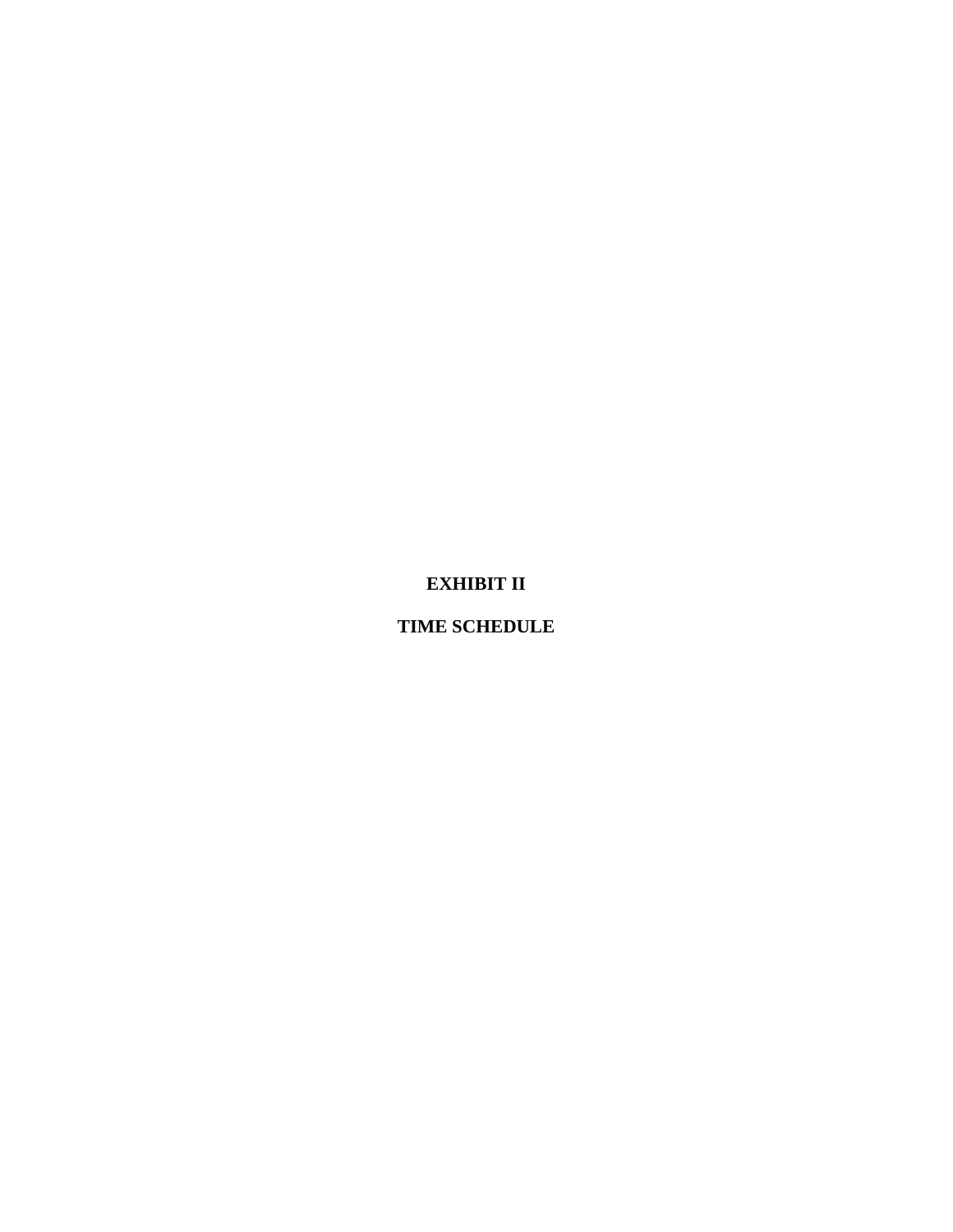# **EXHIBIT II**

## **TIME SCHEDULE**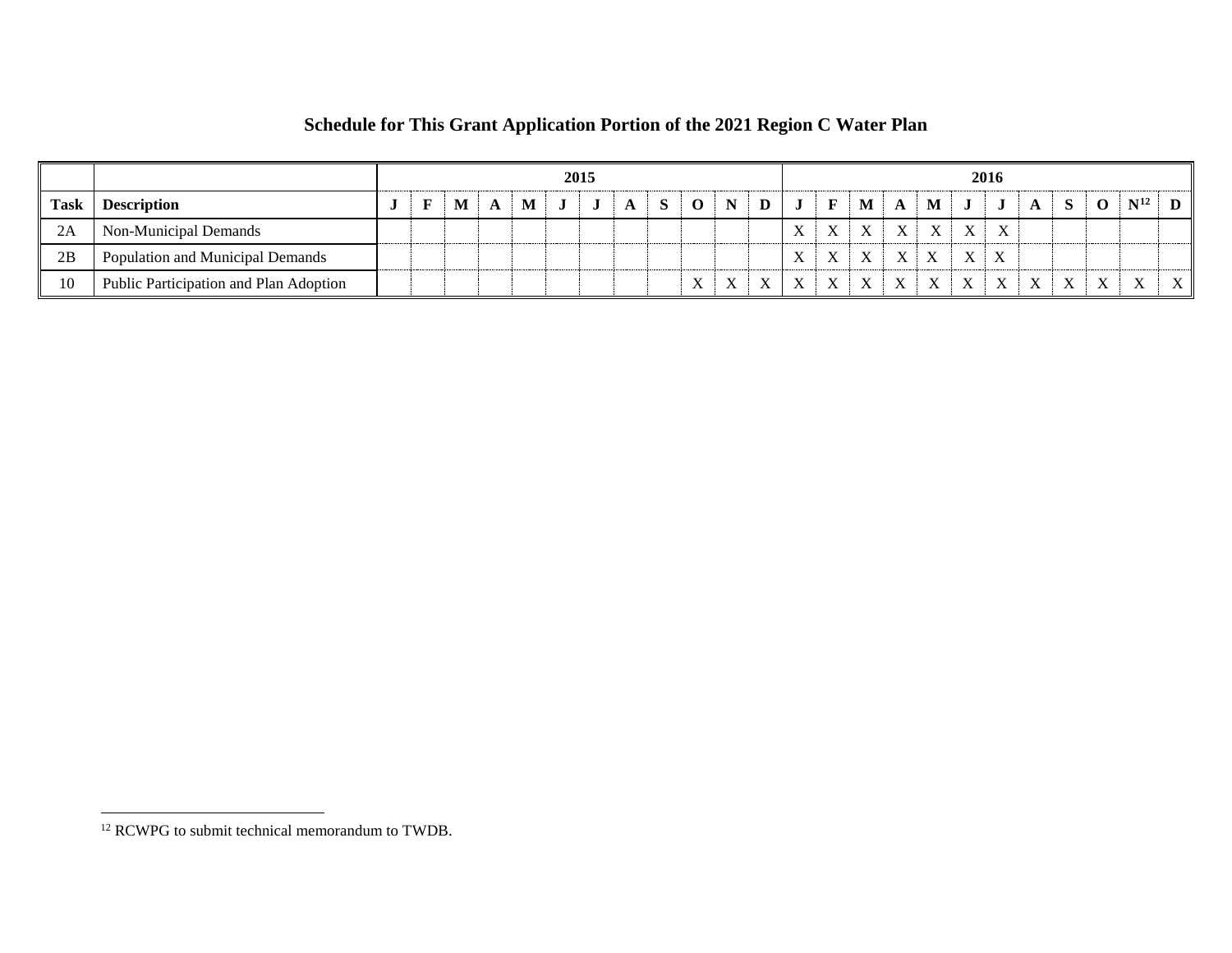|      |                                        | 2015 |  |  |  |   |  |  |  |  |              |  | 2016         |  |  |           |  |          |              |              |  |  |  |                   |              |
|------|----------------------------------------|------|--|--|--|---|--|--|--|--|--------------|--|--------------|--|--|-----------|--|----------|--------------|--------------|--|--|--|-------------------|--------------|
| Task | <b>Description</b>                     |      |  |  |  | M |  |  |  |  |              |  |              |  |  | M         |  | M        |              |              |  |  |  | $\mathbf{N}^{12}$ |              |
| 2A   | Non-Municipal Demands                  |      |  |  |  |   |  |  |  |  |              |  |              |  |  |           |  | <b>T</b> | $\mathbf{v}$ | X            |  |  |  |                   |              |
| 2B   | Population and Municipal Demands       |      |  |  |  |   |  |  |  |  |              |  |              |  |  | <b>XT</b> |  |          | $\mathbf{v}$ | $\mathbf{v}$ |  |  |  |                   |              |
| 10   | Public Participation and Plan Adoption |      |  |  |  |   |  |  |  |  | $\mathbf{v}$ |  | $\mathbf{x}$ |  |  |           |  |          |              | $\mathbf{x}$ |  |  |  | $\mathbf{v}$      | $\mathbf{v}$ |

# <span id="page-19-0"></span>**Schedule for This Grant Application Portion of the 2021 Region C Water Plan**

 $\overline{a}$ 

<sup>&</sup>lt;sup>12</sup> RCWPG to submit technical memorandum to TWDB.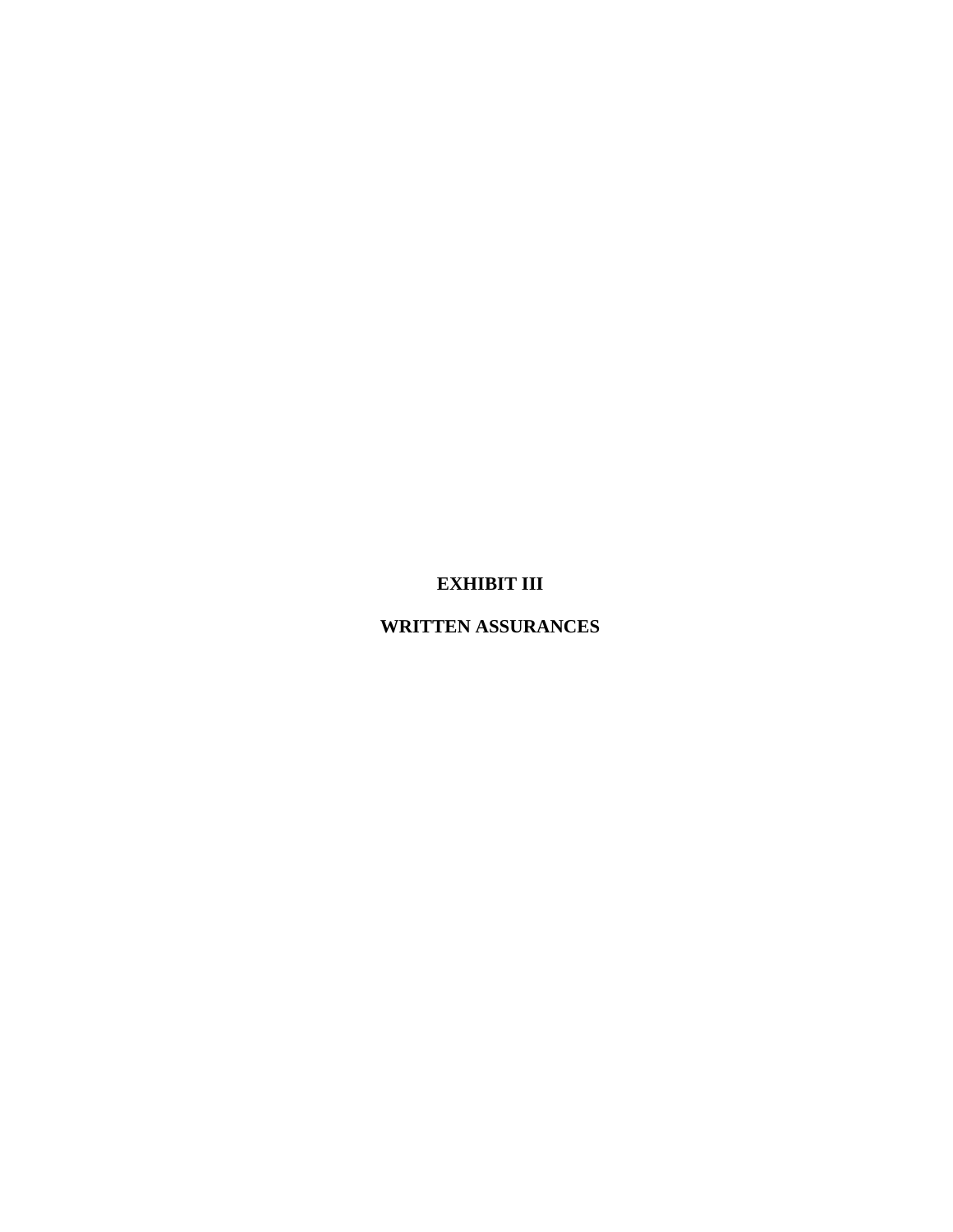## **EXHIBIT III**

## **WRITTEN ASSURANCES**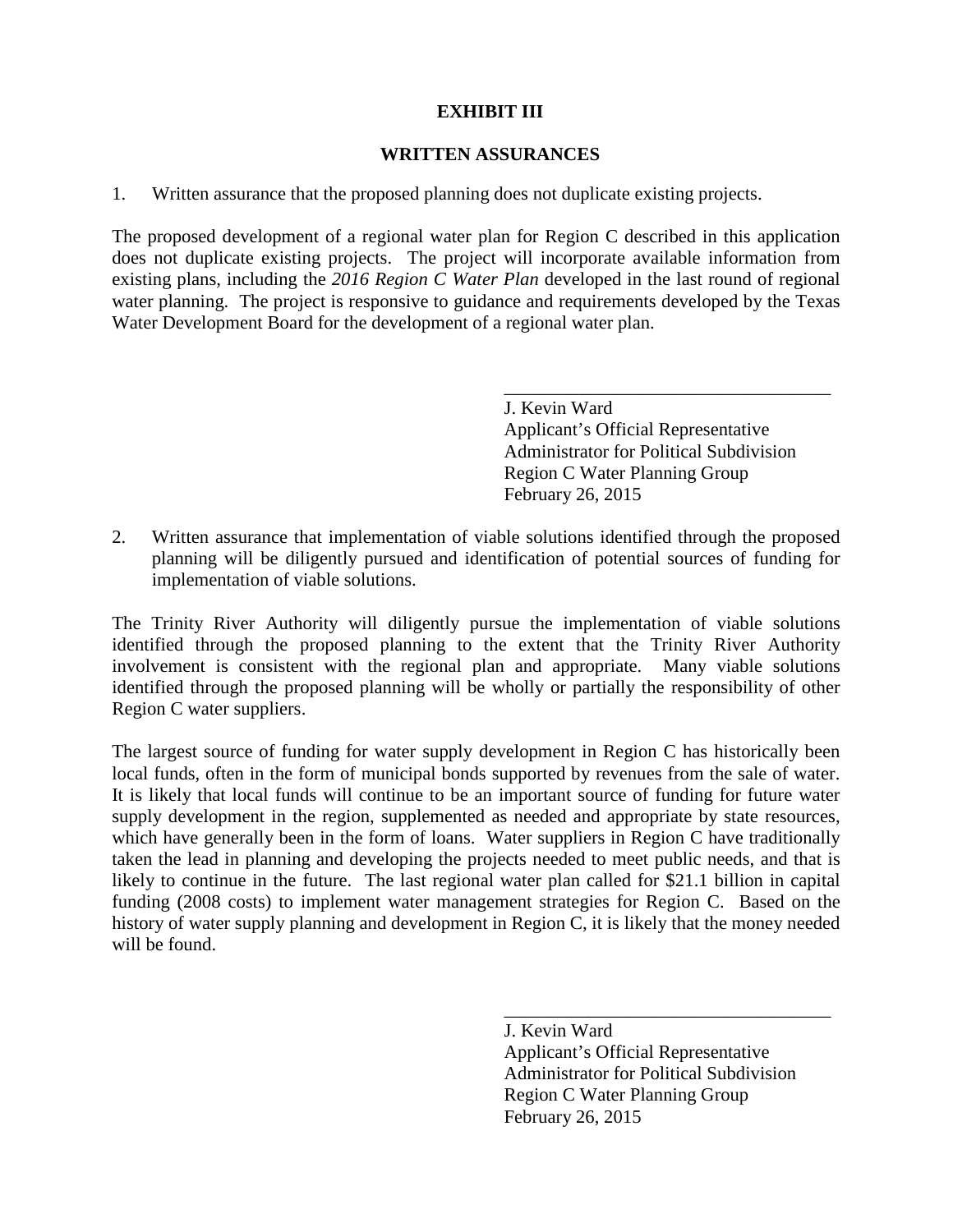#### **EXHIBIT III**

#### **WRITTEN ASSURANCES**

1. Written assurance that the proposed planning does not duplicate existing projects.

The proposed development of a regional water plan for Region C described in this application does not duplicate existing projects. The project will incorporate available information from existing plans, including the *2016 Region C Water Plan* developed in the last round of regional water planning. The project is responsive to guidance and requirements developed by the Texas Water Development Board for the development of a regional water plan.

> \_\_\_\_\_\_\_\_\_\_\_\_\_\_\_\_\_\_\_\_\_\_\_\_\_\_\_\_\_\_\_\_\_\_\_ J. Kevin Ward Applicant's Official Representative Administrator for Political Subdivision Region C Water Planning Group February 26, 2015

2. Written assurance that implementation of viable solutions identified through the proposed planning will be diligently pursued and identification of potential sources of funding for implementation of viable solutions.

The Trinity River Authority will diligently pursue the implementation of viable solutions identified through the proposed planning to the extent that the Trinity River Authority involvement is consistent with the regional plan and appropriate. Many viable solutions identified through the proposed planning will be wholly or partially the responsibility of other Region C water suppliers.

The largest source of funding for water supply development in Region C has historically been local funds, often in the form of municipal bonds supported by revenues from the sale of water. It is likely that local funds will continue to be an important source of funding for future water supply development in the region, supplemented as needed and appropriate by state resources, which have generally been in the form of loans. Water suppliers in Region C have traditionally taken the lead in planning and developing the projects needed to meet public needs, and that is likely to continue in the future. The last regional water plan called for \$21.1 billion in capital funding (2008 costs) to implement water management strategies for Region C. Based on the history of water supply planning and development in Region C, it is likely that the money needed will be found.

> J. Kevin Ward Applicant's Official Representative Administrator for Political Subdivision Region C Water Planning Group February 26, 2015

\_\_\_\_\_\_\_\_\_\_\_\_\_\_\_\_\_\_\_\_\_\_\_\_\_\_\_\_\_\_\_\_\_\_\_